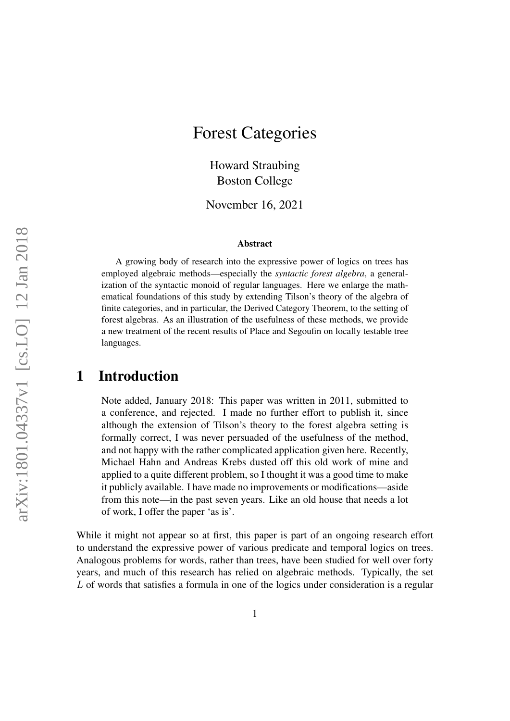# Forest Categories

Howard Straubing Boston College

November 16, 2021

#### Abstract

A growing body of research into the expressive power of logics on trees has employed algebraic methods—especially the *syntactic forest algebra*, a generalization of the syntactic monoid of regular languages. Here we enlarge the mathematical foundations of this study by extending Tilson's theory of the algebra of finite categories, and in particular, the Derived Category Theorem, to the setting of forest algebras. As an illustration of the usefulness of these methods, we provide a new treatment of the recent results of Place and Segoufin on locally testable tree languages.

### 1 Introduction

Note added, January 2018: This paper was written in 2011, submitted to a conference, and rejected. I made no further effort to publish it, since although the extension of Tilson's theory to the forest algebra setting is formally correct, I was never persuaded of the usefulness of the method, and not happy with the rather complicated application given here. Recently, Michael Hahn and Andreas Krebs dusted off this old work of mine and applied to a quite different problem, so I thought it was a good time to make it publicly available. I have made no improvements or modifications—aside from this note—in the past seven years. Like an old house that needs a lot of work, I offer the paper 'as is'.

While it might not appear so at first, this paper is part of an ongoing research effort to understand the expressive power of various predicate and temporal logics on trees. Analogous problems for words, rather than trees, have been studied for well over forty years, and much of this research has relied on algebraic methods. Typically, the set L of words that satisfies a formula in one of the logics under consideration is a regular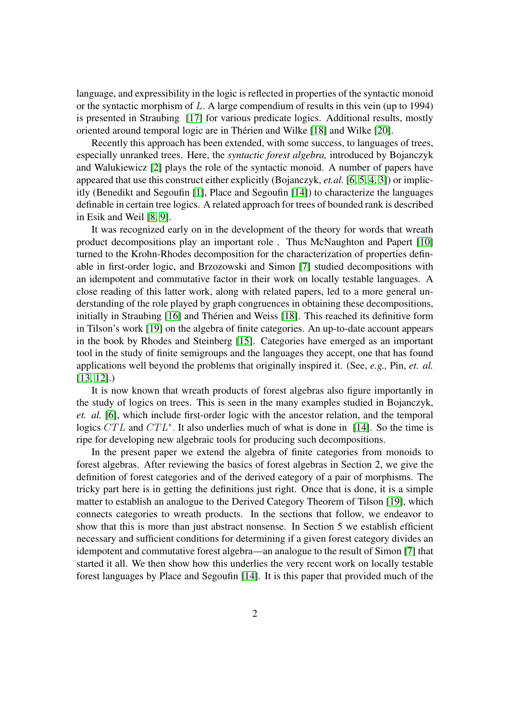language, and expressibility in the logic is reflected in properties of the syntactic monoid or the syntactic morphism of L. A large compendium of results in this vein (up to 1994) is presented in Straubing [\[17\]](#page-19-0) for various predicate logics. Additional results, mostly oriented around temporal logic are in Therien and Wilke [\[18\]](#page-19-1) and Wilke [\[20\]](#page-19-2). ´

Recently this approach has been extended, with some success, to languages of trees, especially unranked trees. Here, the *syntactic forest algebra,* introduced by Bojanczyk and Walukiewicz [\[2\]](#page-17-0) plays the role of the syntactic monoid. A number of papers have appeared that use this construct either explicitly (Bojanczyk, *et.al.* [\[6,](#page-18-0) [5,](#page-18-1) [4,](#page-18-2) [3\]](#page-18-3)) or implicitly (Benedikt and Segoufin [\[1\]](#page-17-1), Place and Segoufin [\[14\]](#page-18-4)) to characterize the languages definable in certain tree logics. A related approach for trees of bounded rank is described in Esik and Weil [\[8,](#page-18-5) [9\]](#page-18-6).

It was recognized early on in the development of the theory for words that wreath product decompositions play an important role . Thus McNaughton and Papert [\[10\]](#page-18-7) turned to the Krohn-Rhodes decomposition for the characterization of properties definable in first-order logic, and Brzozowski and Simon [\[7\]](#page-18-8) studied decompositions with an idempotent and commutative factor in their work on locally testable languages. A close reading of this latter work, along with related papers, led to a more general understanding of the role played by graph congruences in obtaining these decompositions, initially in Straubing [\[16\]](#page-19-3) and Thérien and Weiss [\[18\]](#page-19-1). This reached its definitive form in Tilson's work [\[19\]](#page-19-4) on the algebra of finite categories. An up-to-date account appears in the book by Rhodes and Steinberg [\[15\]](#page-19-5). Categories have emerged as an important tool in the study of finite semigroups and the languages they accept, one that has found applications well beyond the problems that originally inspired it. (See, *e.g.,* Pin, *et. al.* [\[13,](#page-18-9) [12\]](#page-18-10).)

It is now known that wreath products of forest algebras also figure importantly in the study of logics on trees. This is seen in the many examples studied in Bojanczyk, *et. al.* [\[6\]](#page-18-0), which include first-order logic with the ancestor relation, and the temporal logics  $CTL$  and  $CTL^*$ . It also underlies much of what is done in [\[14\]](#page-18-4). So the time is ripe for developing new algebraic tools for producing such decompositions.

In the present paper we extend the algebra of finite categories from monoids to forest algebras. After reviewing the basics of forest algebras in Section 2, we give the definition of forest categories and of the derived category of a pair of morphisms. The tricky part here is in getting the definitions just right. Once that is done, it is a simple matter to establish an analogue to the Derived Category Theorem of Tilson [\[19\]](#page-19-4), which connects categories to wreath products. In the sections that follow, we endeavor to show that this is more than just abstract nonsense. In Section 5 we establish efficient necessary and sufficient conditions for determining if a given forest category divides an idempotent and commutative forest algebra—an analogue to the result of Simon [\[7\]](#page-18-8) that started it all. We then show how this underlies the very recent work on locally testable forest languages by Place and Segoufin [\[14\]](#page-18-4). It is this paper that provided much of the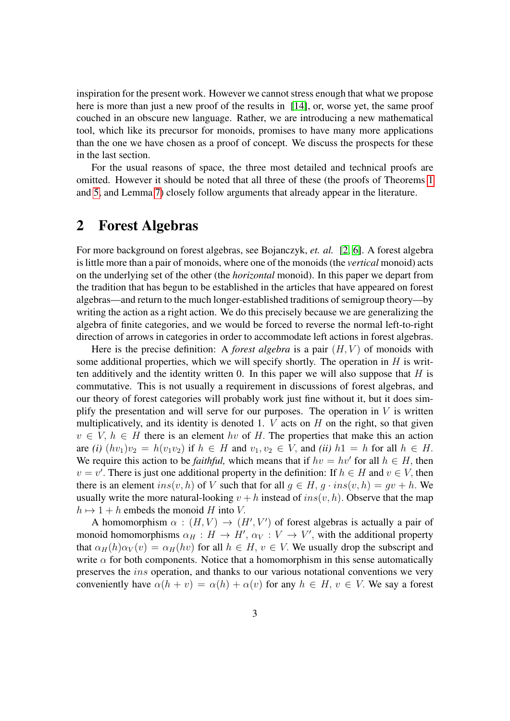inspiration for the present work. However we cannot stress enough that what we propose here is more than just a new proof of the results in [\[14\]](#page-18-4), or, worse yet, the same proof couched in an obscure new language. Rather, we are introducing a new mathematical tool, which like its precursor for monoids, promises to have many more applications than the one we have chosen as a proof of concept. We discuss the prospects for these in the last section.

For the usual reasons of space, the three most detailed and technical proofs are omitted. However it should be noted that all three of these (the proofs of Theorems [1](#page-11-0) and [5,](#page-13-0) and Lemma [7\)](#page-15-0) closely follow arguments that already appear in the literature.

### 2 Forest Algebras

For more background on forest algebras, see Bojanczyk, *et. al.* [\[2,](#page-17-0) [6\]](#page-18-0). A forest algebra is little more than a pair of monoids, where one of the monoids (the *vertical* monoid) acts on the underlying set of the other (the *horizontal* monoid). In this paper we depart from the tradition that has begun to be established in the articles that have appeared on forest algebras—and return to the much longer-established traditions of semigroup theory—by writing the action as a right action. We do this precisely because we are generalizing the algebra of finite categories, and we would be forced to reverse the normal left-to-right direction of arrows in categories in order to accommodate left actions in forest algebras.

Here is the precise definition: A *forest algebra* is a pair  $(H, V)$  of monoids with some additional properties, which we will specify shortly. The operation in  $H$  is written additively and the identity written 0. In this paper we will also suppose that  $H$  is commutative. This is not usually a requirement in discussions of forest algebras, and our theory of forest categories will probably work just fine without it, but it does simplify the presentation and will serve for our purposes. The operation in  $V$  is written multiplicatively, and its identity is denoted 1.  $V$  acts on  $H$  on the right, so that given  $v \in V$ ,  $h \in H$  there is an element hv of H. The properties that make this an action are *(i)*  $(hv_1)v_2 = h(v_1v_2)$  if  $h \in H$  and  $v_1, v_2 \in V$ , and *(ii)*  $h1 = h$  for all  $h \in H$ . We require this action to be *faithful*, which means that if  $hv = hv'$  for all  $h \in H$ , then  $v = v'$ . There is just one additional property in the definition: If  $h \in H$  and  $v \in V$ , then there is an element  $ins(v, h)$  of V such that for all  $g \in H$ ,  $g \cdot ins(v, h) = gv + h$ . We usually write the more natural-looking  $v + h$  instead of  $ins(v, h)$ . Observe that the map  $h \mapsto 1 + h$  embeds the monoid H into V.

A homomorphism  $\alpha$  :  $(H, V) \rightarrow (H', V')$  of forest algebras is actually a pair of monoid homomorphisms  $\alpha_H : H \to H', \alpha_V : V \to V'$ , with the additional property that  $\alpha_H(h)\alpha_V(v) = \alpha_H(hv)$  for all  $h \in H$ ,  $v \in V$ . We usually drop the subscript and write  $\alpha$  for both components. Notice that a homomorphism in this sense automatically preserves the ins operation, and thanks to our various notational conventions we very conveniently have  $\alpha(h + v) = \alpha(h) + \alpha(v)$  for any  $h \in H$ ,  $v \in V$ . We say a forest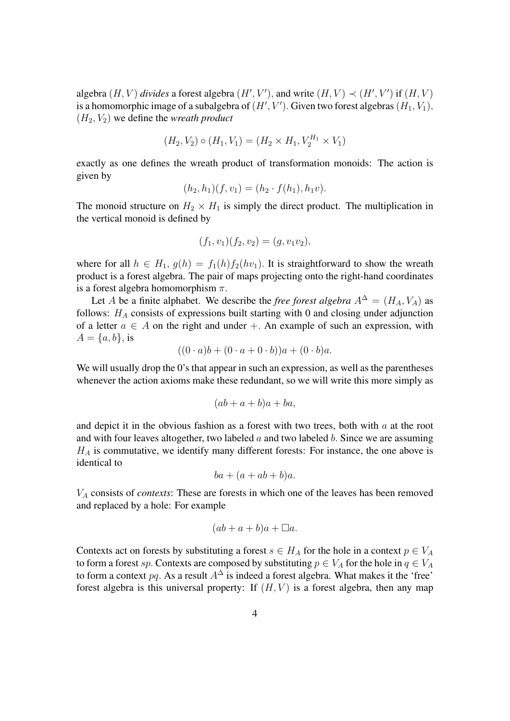algebra  $(H, V)$  *divides* a forest algebra  $(H', V')$ , and write  $(H, V) \prec (H', V')$  if  $(H, V)$ is a homomorphic image of a subalgebra of  $(H', V')$ . Given two forest algebras  $(H_1, V_1)$ ,  $(H_2, V_2)$  we define the *wreath product* 

$$
(H_2, V_2) \circ (H_1, V_1) = (H_2 \times H_1, V_2^{H_1} \times V_1)
$$

exactly as one defines the wreath product of transformation monoids: The action is given by

$$
(h_2, h_1)(f, v_1) = (h_2 \cdot f(h_1), h_1 v).
$$

The monoid structure on  $H_2 \times H_1$  is simply the direct product. The multiplication in the vertical monoid is defined by

$$
(f_1, v_1)(f_2, v_2) = (g, v_1v_2),
$$

where for all  $h \in H_1$ ,  $g(h) = f_1(h) f_2(hv_1)$ . It is straightforward to show the wreath product is a forest algebra. The pair of maps projecting onto the right-hand coordinates is a forest algebra homomorphism  $\pi$ .

Let A be a finite alphabet. We describe the *free forest algebra*  $A^{\Delta} = (H_A, V_A)$  as follows:  $H_A$  consists of expressions built starting with 0 and closing under adjunction of a letter  $a \in A$  on the right and under  $+$ . An example of such an expression, with  $A = \{a, b\},\$ is

$$
((0 \cdot a)b + (0 \cdot a + 0 \cdot b))a + (0 \cdot b)a.
$$

We will usually drop the 0's that appear in such an expression, as well as the parentheses whenever the action axioms make these redundant, so we will write this more simply as

$$
(ab+a+b)a+ba,
$$

and depict it in the obvious fashion as a forest with two trees, both with  $a$  at the root and with four leaves altogether, two labeled  $a$  and two labeled  $b$ . Since we are assuming  $H_A$  is commutative, we identify many different forests: For instance, the one above is identical to

$$
ba + (a + ab + b)a.
$$

V<sup>A</sup> consists of *contexts*: These are forests in which one of the leaves has been removed and replaced by a hole: For example

$$
(ab + a + b)a + \Box a.
$$

Contexts act on forests by substituting a forest  $s \in H_A$  for the hole in a context  $p \in V_A$ to form a forest sp. Contexts are composed by substituting  $p \in V_A$  for the hole in  $q \in V_A$ to form a context pq. As a result  $A^{\Delta}$  is indeed a forest algebra. What makes it the 'free' forest algebra is this universal property: If  $(H, V)$  is a forest algebra, then any map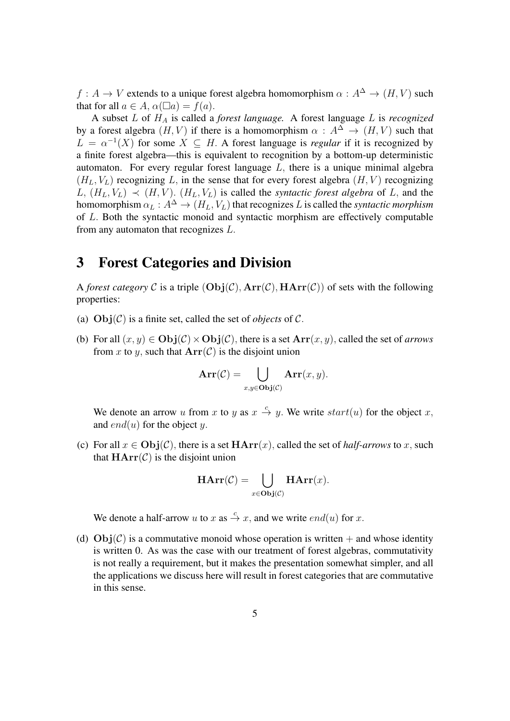$f : A \to V$  extends to a unique forest algebra homomorphism  $\alpha : A^{\Delta} \to (H, V)$  such that for all  $a \in A$ ,  $\alpha(\Box a) = f(a)$ .

A subset L of H<sup>A</sup> is called a *forest language.* A forest language L is *recognized* by a forest algebra  $(H, V)$  if there is a homomorphism  $\alpha : A^{\Delta} \to (H, V)$  such that  $L = \alpha^{-1}(X)$  for some  $X \subseteq H$ . A forest language is *regular* if it is recognized by a finite forest algebra—this is equivalent to recognition by a bottom-up deterministic automaton. For every regular forest language  $L$ , there is a unique minimal algebra  $(H_L, V_L)$  recognizing L, in the sense that for every forest algebra  $(H, V)$  recognizing  $L, (H_L, V_L) \prec (H, V)$ .  $(H_L, V_L)$  is called the *syntactic forest algebra* of L, and the homomorphism  $\alpha_L : A^{\Delta} \to (H_L, V_L)$  that recognizes L is called the *syntactic morphism* of L. Both the syntactic monoid and syntactic morphism are effectively computable from any automaton that recognizes L.

## 3 Forest Categories and Division

A *forest category* C is a triple  $(Obj(\mathcal{C}), Arr(\mathcal{C}), HArr(\mathcal{C}))$  of sets with the following properties:

- (a)  $Obj(\mathcal{C})$  is a finite set, called the set of *objects* of  $\mathcal{C}$ .
- (b) For all  $(x, y) \in \text{Obj}(\mathcal{C}) \times \text{Obj}(\mathcal{C})$ , there is a set  $\text{Arr}(x, y)$ , called the set of *arrows* from x to y, such that  $Arr(C)$  is the disjoint union

$$
\mathbf{Arr}(\mathcal{C}) = \bigcup_{x,y \in \mathbf{Obj}(\mathcal{C})} \mathbf{Arr}(x,y).
$$

We denote an arrow u from x to y as  $x \stackrel{c}{\rightarrow} y$ . We write  $start(u)$  for the object x, and  $end(u)$  for the object y.

(c) For all  $x \in Obj(\mathcal{C})$ , there is a set  $HArr(x)$ , called the set of *half-arrows* to x, such that  $HArr(\mathcal{C})$  is the disjoint union

$$
\mathbf{HArr}(\mathcal{C}) = \bigcup_{x \in \mathbf{Obj}(\mathcal{C})} \mathbf{HArr}(x).
$$

We denote a half-arrow u to x as  $\stackrel{c}{\rightarrow} x$ , and we write  $end(u)$  for x.

(d)  $\text{Obj}(\mathcal{C})$  is a commutative monoid whose operation is written  $+$  and whose identity is written 0. As was the case with our treatment of forest algebras, commutativity is not really a requirement, but it makes the presentation somewhat simpler, and all the applications we discuss here will result in forest categories that are commutative in this sense.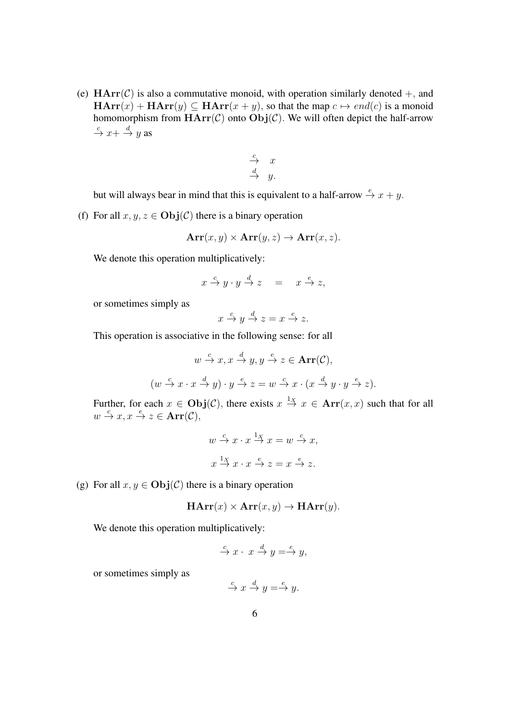(e)  $\text{HArr}(\mathcal{C})$  is also a commutative monoid, with operation similarly denoted  $+$ , and  $\mathbf{HArr}(x) + \mathbf{HArr}(y) \subseteq \mathbf{HArr}(x + y)$ , so that the map  $c \mapsto end(c)$  is a monoid homomorphism from  $HArr(C)$  onto  $Obj(C)$ . We will often depict the half-arrow  $\stackrel{c}{\rightarrow} x + \stackrel{d}{\rightarrow} y$  as

$$
\begin{array}{ccc}\n c & x \\
 d & y.\n\end{array}
$$

but will always bear in mind that this is equivalent to a half-arrow  $\stackrel{e}{\rightarrow} x + y$ .

(f) For all  $x, y, z \in \text{Obj}(\mathcal{C})$  there is a binary operation

$$
Arr(x, y) \times Arr(y, z) \rightarrow Arr(x, z).
$$

We denote this operation multiplicatively:

$$
x \xrightarrow{c} y \cdot y \xrightarrow{d} z = x \xrightarrow{e} z,
$$

or sometimes simply as

$$
x \xrightarrow{c} y \xrightarrow{d} z = x \xrightarrow{e} z.
$$

This operation is associative in the following sense: for all

$$
w \stackrel{c}{\rightarrow} x, x \stackrel{d}{\rightarrow} y, y \stackrel{e}{\rightarrow} z \in \text{Arr}(\mathcal{C}),
$$
  

$$
(w \stackrel{c}{\rightarrow} x \cdot x \stackrel{d}{\rightarrow} y) \cdot y \stackrel{e}{\rightarrow} z = w \stackrel{c}{\rightarrow} x \cdot (x \stackrel{d}{\rightarrow} y \cdot y \stackrel{e}{\rightarrow} z).
$$

Further, for each  $x \in \text{Obj}(\mathcal{C})$ , there exists  $x \stackrel{1_X}{\rightarrow} x \in \text{Arr}(x, x)$  such that for all  $w \stackrel{c}{\rightarrow} x, x \stackrel{e}{\rightarrow} z \in \textbf{Arr}(\mathcal{C}),$ 

$$
w \stackrel{c}{\rightarrow} x \cdot x \stackrel{1_X}{\rightarrow} x = w \stackrel{c}{\rightarrow} x,
$$
  

$$
x \stackrel{1_X}{\rightarrow} x \cdot x \stackrel{e}{\rightarrow} z = x \stackrel{e}{\rightarrow} z.
$$

(g) For all  $x, y \in Obj(\mathcal{C})$  there is a binary operation

$$
HArr(x) \times Arr(x, y) \rightarrow HArr(y).
$$

We denote this operation multiplicatively:

$$
\xrightarrow{c} x \cdot x \xrightarrow{d} y = \xrightarrow{e} y,
$$

or sometimes simply as

$$
\xrightarrow{c} x \xrightarrow{d} y = \xrightarrow{e} y.
$$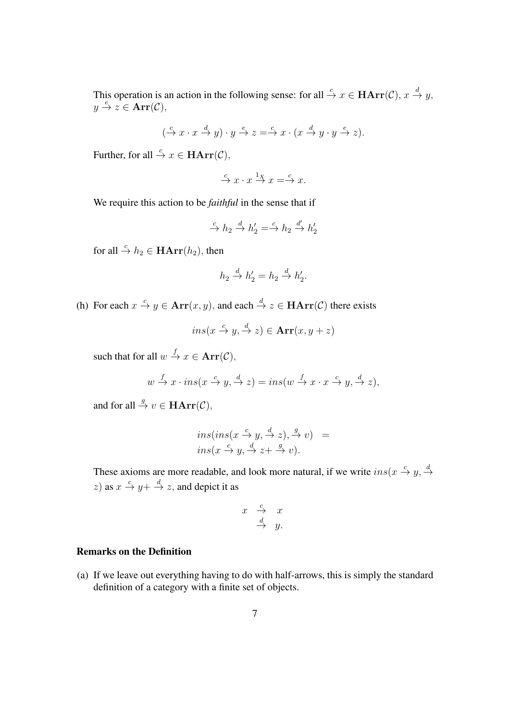This operation is an action in the following sense: for all  $\stackrel{c}{\to} x \in \textbf{HArr}(\mathcal{C}), x \stackrel{d}{\to} y$ ,  $y \stackrel{e}{\rightarrow} z \in \text{Arr}(\mathcal{C}),$ 

$$
(\xrightarrow{c} x\cdot x \xrightarrow{d} y)\cdot y \xrightarrow{e} z \xrightarrow{c} x\cdot (x \xrightarrow{d} y\cdot y \xrightarrow{e} z).
$$

Further, for all  $\stackrel{c}{\rightarrow} x \in \textbf{HArr}(\mathcal{C}),$ 

$$
\xrightarrow{c} x \cdot x \xrightarrow{1_X} x \xrightarrow{c} x.
$$

We require this action to be *faithful* in the sense that if

$$
\xrightarrow{c} h_2 \xrightarrow{d} h_2' = \xrightarrow{c} h_2 \xrightarrow{d'} h_2'
$$

for all  $\stackrel{c}{\rightarrow} h_2 \in \textbf{HArr}(h_2)$ , then

$$
h_2 \xrightarrow{d} h_2' = h_2 \xrightarrow{d} h_2'.
$$

(h) For each  $x \stackrel{c}{\rightarrow} y \in \text{Arr}(x, y)$ , and each  $\stackrel{d}{\rightarrow} z \in \text{HArr}(\mathcal{C})$  there exists

$$
ins(x \xrightarrow{c} y, \xrightarrow{d} z) \in \mathbf{Arr}(x, y + z)
$$

such that for all  $w \stackrel{f}{\rightarrow} x \in \text{Arr}(\mathcal{C}),$ 

$$
w \xrightarrow{f} x \cdot ins(x \xrightarrow{c} y, \xrightarrow{d} z) = ins(w \xrightarrow{f} x \cdot x \xrightarrow{c} y, \xrightarrow{d} z),
$$

and for all  $\stackrel{g}{\rightarrow} v \in \textbf{HArr}(\mathcal{C}),$ 

$$
ins(ns(x \xrightarrow{c} y, \xrightarrow{d} z), \xrightarrow{g} v) = ins(x \xrightarrow{c} y, \xrightarrow{d} z + \xrightarrow{g} v).
$$

These axioms are more readable, and look more natural, if we write  $ins(x \stackrel{c}{\rightarrow} y, \stackrel{d}{\rightarrow} z)$ z) as  $x \stackrel{c}{\rightarrow} y + \stackrel{d}{\rightarrow} z$ , and depict it as

$$
\begin{array}{rcl} x & \xrightarrow{c} & x \\ & \xrightarrow{d} & y. \end{array}
$$

### Remarks on the Definition

(a) If we leave out everything having to do with half-arrows, this is simply the standard definition of a category with a finite set of objects.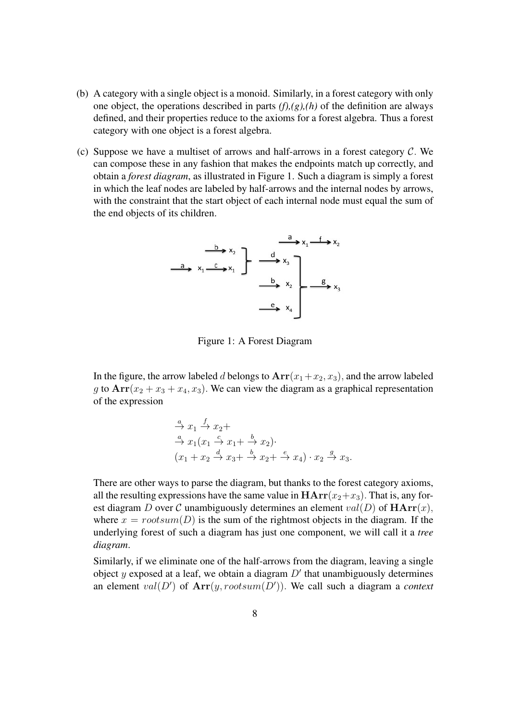- (b) A category with a single object is a monoid. Similarly, in a forest category with only one object, the operations described in parts *(f),(g),(h)* of the definition are always defined, and their properties reduce to the axioms for a forest algebra. Thus a forest category with one object is a forest algebra.
- (c) Suppose we have a multiset of arrows and half-arrows in a forest category  $C$ . We can compose these in any fashion that makes the endpoints match up correctly, and obtain a *forest diagram*, as illustrated in Figure 1. Such a diagram is simply a forest in which the leaf nodes are labeled by half-arrows and the internal nodes by arrows, with the constraint that the start object of each internal node must equal the sum of the end objects of its children.

$$
\begin{array}{c|c}\n & \xrightarrow{b} x_2 \\
\hline\na & x_1 - c & x_1\n\end{array}
$$

Figure 1: A Forest Diagram

In the figure, the arrow labeled d belongs to  $Arr(x_1+x_2, x_3)$ , and the arrow labeled g to  $Arr(x_2 + x_3 + x_4, x_3)$ . We can view the diagram as a graphical representation of the expression

$$
\stackrel{a}{\rightarrow} x_1 \stackrel{f}{\rightarrow} x_2 +
$$
  
\n
$$
\stackrel{a}{\rightarrow} x_1(x_1 \stackrel{c}{\rightarrow} x_1 + \stackrel{b}{\rightarrow} x_2).
$$
  
\n
$$
(x_1 + x_2 \stackrel{d}{\rightarrow} x_3 + \stackrel{b}{\rightarrow} x_2 + \stackrel{e}{\rightarrow} x_4) \cdot x_2 \stackrel{g}{\rightarrow} x_3.
$$

There are other ways to parse the diagram, but thanks to the forest category axioms, all the resulting expressions have the same value in  $HArr(x_2+x_3)$ . That is, any forest diagram D over C unambiguously determines an element  $val(D)$  of  $\mathbf{HArr}(x)$ , where  $x = rootsum(D)$  is the sum of the rightmost objects in the diagram. If the underlying forest of such a diagram has just one component, we will call it a *tree diagram*.

Similarly, if we eliminate one of the half-arrows from the diagram, leaving a single object y exposed at a leaf, we obtain a diagram  $D'$  that unambiguously determines an element  $val(D')$  of  $Arr(y, rootsum(D'))$ . We call such a diagram a *context*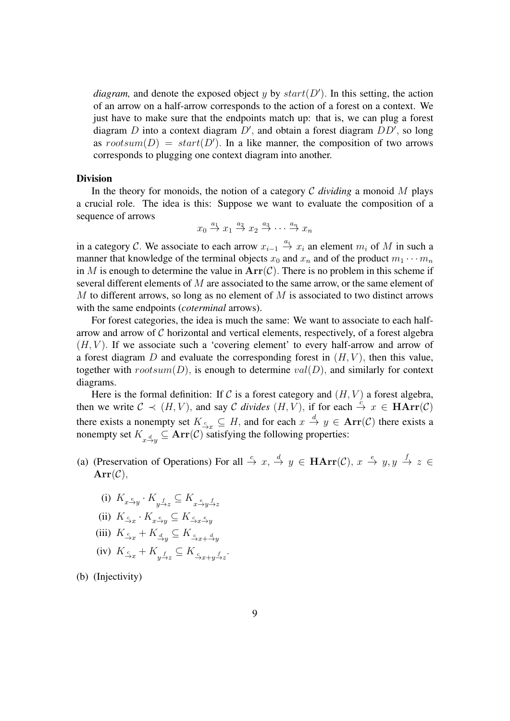*diagram*, and denote the exposed object y by  $start(D')$ . In this setting, the action of an arrow on a half-arrow corresponds to the action of a forest on a context. We just have to make sure that the endpoints match up: that is, we can plug a forest diagram  $D$  into a context diagram  $D'$ , and obtain a forest diagram  $DD'$ , so long as  $rootsum(D) = start(D')$ . In a like manner, the composition of two arrows corresponds to plugging one context diagram into another.

### Division

In the theory for monoids, the notion of a category  $\mathcal C$  *dividing* a monoid  $M$  plays a crucial role. The idea is this: Suppose we want to evaluate the composition of a sequence of arrows

$$
x_0 \stackrel{a_1}{\rightarrow} x_1 \stackrel{a_2}{\rightarrow} x_2 \stackrel{a_3}{\rightarrow} \cdots \stackrel{a_n}{\rightarrow} x_n
$$

in a category C. We associate to each arrow  $x_{i-1} \stackrel{a_i}{\rightarrow} x_i$  an element  $m_i$  of M in such a manner that knowledge of the terminal objects  $x_0$  and  $x_n$  and of the product  $m_1 \cdots m_n$ in M is enough to determine the value in  $Arr(C)$ . There is no problem in this scheme if several different elements of M are associated to the same arrow, or the same element of M to different arrows, so long as no element of  $M$  is associated to two distinct arrows with the same endpoints (*coterminal* arrows).

For forest categories, the idea is much the same: We want to associate to each halfarrow and arrow of  $C$  horizontal and vertical elements, respectively, of a forest algebra  $(H, V)$ . If we associate such a 'covering element' to every half-arrow and arrow of a forest diagram  $D$  and evaluate the corresponding forest in  $(H, V)$ , then this value, together with  $rootsum(D)$ , is enough to determine  $val(D)$ , and similarly for context diagrams.

Here is the formal definition: If C is a forest category and  $(H, V)$  a forest algebra, then we write  $C \prec (H, V)$ , and say C *divides*  $(H, V)$ , if for each  $\stackrel{c}{\rightarrow} x \in \textbf{HArr}(\mathcal{C})$ there exists a nonempty set  $K_{\frac{c}{r}} \subseteq H$ , and for each  $x \stackrel{d}{\to} y \in \text{Arr}(\mathcal{C})$  there exists a nonempty set  $K_{x\stackrel{d}{\rightarrow}y} \subseteq \textbf{Arr}(\mathcal{C})$  satisfying the following properties:

- (a) (Preservation of Operations) For all  $\stackrel{c}{\to} x$ ,  $\stackrel{d}{\to} y \in \mathbf{HArr}(\mathcal{C})$ ,  $x \stackrel{e}{\to} y$ ,  $y \stackrel{f}{\to} z \in$  $Arr(C)$ ,
	- (i)  $K_{x \xrightarrow{e} y} \cdot K_{y \xrightarrow{f} z} \subseteq K_{x \xrightarrow{e} y \xrightarrow{f} z}$
	- (ii)  $K_{\overset{c}{\rightarrow}x} \cdot K_{x\overset{e}{\rightarrow}y} \subseteq K_{\overset{c}{\rightarrow}x\overset{e}{\rightarrow}y}$
	- (iii)  $K_{\xrightarrow{c}_x} + K_{\xrightarrow{d}_y} \subseteq K_{\xrightarrow{c}_{x} + \xrightarrow{d}_y}$
	- (iv)  $K_{\underline{c}_x} + K_{y \underline{f}_z} \subseteq K_{\underline{c}_x + y \underline{f}_z}.$

(b) (Injectivity)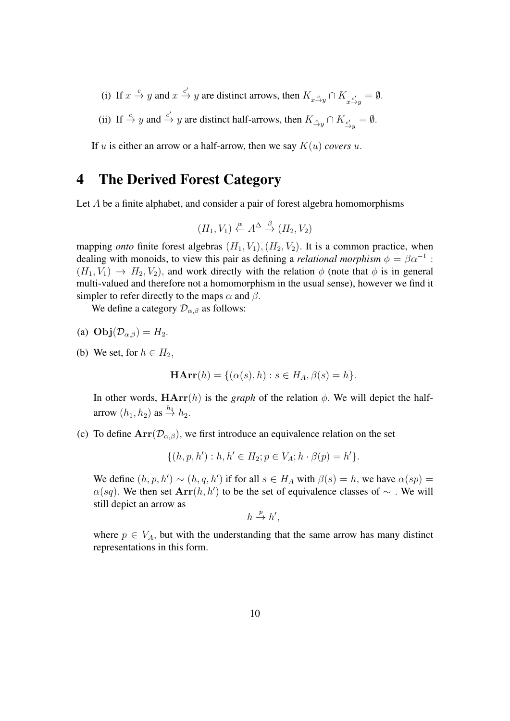- (i) If  $x \stackrel{c}{\rightarrow} y$  and  $x \stackrel{c'}{\rightarrow} y$  are distinct arrows, then  $K_{x \stackrel{c}{\rightarrow} y} \cap K_{x \stackrel{c'}{\rightarrow} y} = \emptyset$ .
- (ii) If  $\stackrel{c}{\to} y$  and  $\stackrel{c'}{\to} y$  are distinct half-arrows, then  $K_{\stackrel{c}{\to} y} \cap K_{\stackrel{c'}{\to} y} = \emptyset$ .

If u is either an arrow or a half-arrow, then we say  $K(u)$  *covers* u.

## 4 The Derived Forest Category

Let A be a finite alphabet, and consider a pair of forest algebra homomorphisms

$$
(H_1, V_1) \xleftarrow{\alpha} A^{\Delta} \xrightarrow{\beta} (H_2, V_2)
$$

mapping *onto* finite forest algebras  $(H_1, V_1), (H_2, V_2)$ . It is a common practice, when dealing with monoids, to view this pair as defining a *relational morphism*  $\phi = \beta \alpha^{-1}$ :  $(H_1, V_1) \rightarrow H_2, V_2$ , and work directly with the relation  $\phi$  (note that  $\phi$  is in general multi-valued and therefore not a homomorphism in the usual sense), however we find it simpler to refer directly to the maps  $\alpha$  and  $\beta$ .

We define a category  $\mathcal{D}_{\alpha,\beta}$  as follows:

(a) 
$$
\text{Obj}(\mathcal{D}_{\alpha,\beta}) = H_2
$$
.

(b) We set, for  $h \in H_2$ ,

$$
\mathbf{HArr}(h) = \{ (\alpha(s), h) : s \in H_A, \beta(s) = h \}
$$

In other words,  $HArr(h)$  is the *graph* of the relation  $\phi$ . We will depict the halfarrow  $(h_1, h_2)$  as  $\stackrel{h_1}{\rightarrow} h_2$ .

(c) To define  $Arr(\mathcal{D}_{\alpha,\beta})$ , we first introduce an equivalence relation on the set

 $\{(h, p, h'): h, h' \in H_2; p \in V_A; h \cdot \beta(p) = h'\}.$ 

We define  $(h, p, h') \sim (h, q, h')$  if for all  $s \in H_A$  with  $\beta(s) = h$ , we have  $\alpha(sp) = h$  $\alpha(sq)$ . We then set  $Arr(h, h')$  to be the set of equivalence classes of  $\sim$  . We will still depict an arrow as

$$
h \xrightarrow{p} h',
$$

where  $p \in V_A$ , but with the understanding that the same arrow has many distinct representations in this form.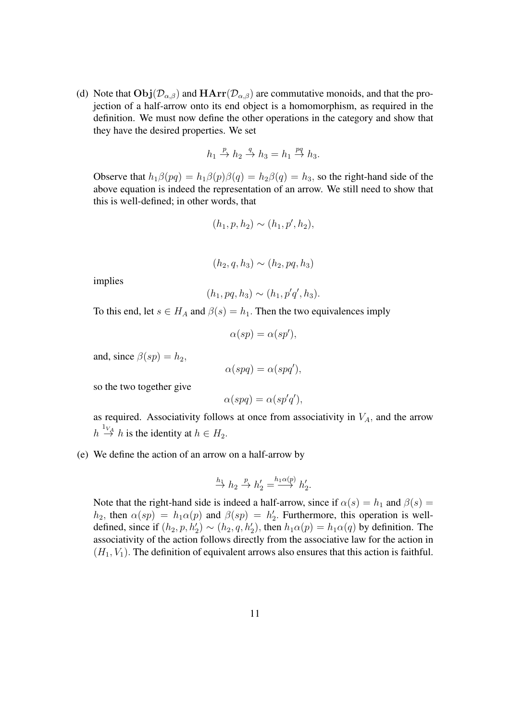(d) Note that  $\text{Obj}(\mathcal{D}_{\alpha,\beta})$  and  $\text{HArr}(\mathcal{D}_{\alpha,\beta})$  are commutative monoids, and that the projection of a half-arrow onto its end object is a homomorphism, as required in the definition. We must now define the other operations in the category and show that they have the desired properties. We set

$$
h_1 \stackrel{p}{\to} h_2 \stackrel{q}{\to} h_3 = h_1 \stackrel{pq}{\to} h_3.
$$

Observe that  $h_1\beta(pq) = h_1\beta(p)\beta(q) = h_2\beta(q) = h_3$ , so the right-hand side of the above equation is indeed the representation of an arrow. We still need to show that this is well-defined; in other words, that

$$
(h_1, p, h_2) \sim (h_1, p', h_2),
$$

$$
(h_2, q, h_3) \sim (h_2, pq, h_3)
$$

implies

$$
(h_1, pq, h_3) \sim (h_1, p'q', h_3).
$$

To this end, let  $s \in H_A$  and  $\beta(s) = h_1$ . Then the two equivalences imply

$$
\alpha(sp) = \alpha(sp'),
$$

and, since  $\beta(sp) = h_2$ ,

$$
\alpha(spq) = \alpha(spq'),
$$

so the two together give

$$
\alpha(spq) = \alpha(sp'q'),
$$

as required. Associativity follows at once from associativity in  $V_A$ , and the arrow  $h \stackrel{1_{V_A}}{\rightarrow} h$  is the identity at  $h \in H_2$ .

(e) We define the action of an arrow on a half-arrow by

$$
\xrightarrow{h_1} h_2 \xrightarrow{p} h_2' = \xrightarrow{h_1 \alpha(p)} h_2'.
$$

Note that the right-hand side is indeed a half-arrow, since if  $\alpha(s) = h_1$  and  $\beta(s) =$  $h_2$ , then  $\alpha(sp) = h_1 \alpha(p)$  and  $\beta(sp) = h_2'$ . Furthermore, this operation is welldefined, since if  $(h_2, p, h'_2) \sim (h_2, q, h'_2)$ , then  $h_1 \alpha(p) = h_1 \alpha(q)$  by definition. The associativity of the action follows directly from the associative law for the action in  $(H_1, V_1)$ . The definition of equivalent arrows also ensures that this action is faithful.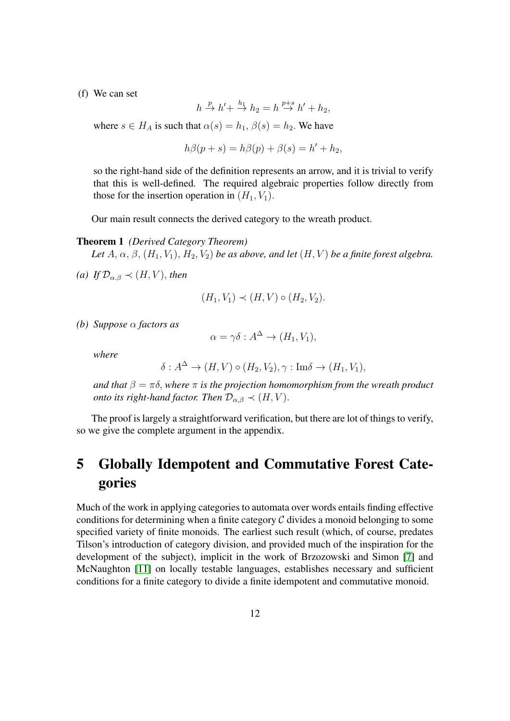(f) We can set

$$
h \stackrel{p}{\to} h' + \stackrel{h_1}{\to} h_2 = h \stackrel{p+s}{\to} h' + h_2,
$$

where  $s \in H_A$  is such that  $\alpha(s) = h_1, \beta(s) = h_2$ . We have

$$
h\beta(p+s) = h\beta(p) + \beta(s) = h' + h_2,
$$

so the right-hand side of the definition represents an arrow, and it is trivial to verify that this is well-defined. The required algebraic properties follow directly from those for the insertion operation in  $(H_1, V_1)$ .

Our main result connects the derived category to the wreath product.

#### <span id="page-11-0"></span>Theorem 1 *(Derived Category Theorem)*

Let  $A, \alpha, \beta, (H_1, V_1), H_2, V_2$  *be as above, and let*  $(H, V)$  *be a finite forest algebra.* 

*(a)* If  $\mathcal{D}_{\alpha,\beta} \prec (H, V)$ *, then* 

$$
(H_1, V_1) \prec (H, V) \circ (H_2, V_2).
$$

*(b) Suppose* α *factors as*

$$
\alpha = \gamma \delta : A^{\Delta} \to (H_1, V_1),
$$

*where*

$$
\delta: A^{\Delta} \to (H, V) \circ (H_2, V_2), \gamma: \text{Im}\delta \to (H_1, V_1),
$$

*and that*  $\beta = \pi \delta$ , *where*  $\pi$  *is the projection homomorphism from the wreath product onto its right-hand factor. Then*  $\mathcal{D}_{\alpha,\beta} \prec (H, V)$ .

The proof is largely a straightforward verification, but there are lot of things to verify, so we give the complete argument in the appendix.

# 5 Globally Idempotent and Commutative Forest Categories

<span id="page-11-1"></span>Much of the work in applying categories to automata over words entails finding effective conditions for determining when a finite category  $\mathcal C$  divides a monoid belonging to some specified variety of finite monoids. The earliest such result (which, of course, predates Tilson's introduction of category division, and provided much of the inspiration for the development of the subject), implicit in the work of Brzozowski and Simon [\[7\]](#page-18-8) and McNaughton [\[11\]](#page-18-11) on locally testable languages, establishes necessary and sufficient conditions for a finite category to divide a finite idempotent and commutative monoid.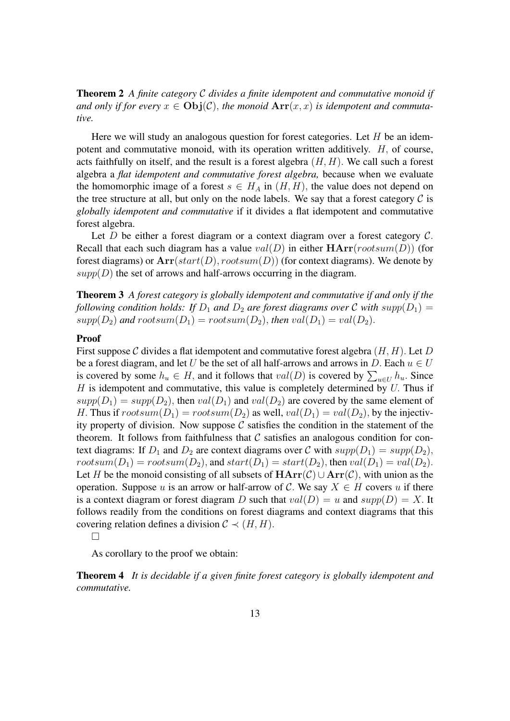Theorem 2 *A finite category* C *divides a finite idempotent and commutative monoid if* and only if for every  $x \in \text{Obj}(\mathcal{C})$ , the monoid  $\text{Arr}(x, x)$  is idempotent and commuta*tive.*

Here we will study an analogous question for forest categories. Let  $H$  be an idempotent and commutative monoid, with its operation written additively. H, of course, acts faithfully on itself, and the result is a forest algebra  $(H, H)$ . We call such a forest algebra a *flat idempotent and commutative forest algebra,* because when we evaluate the homomorphic image of a forest  $s \in H_A$  in  $(H, H)$ , the value does not depend on the tree structure at all, but only on the node labels. We say that a forest category  $\mathcal C$  is *globally idempotent and commutative* if it divides a flat idempotent and commutative forest algebra.

Let D be either a forest diagram or a context diagram over a forest category  $\mathcal{C}$ . Recall that each such diagram has a value  $val(D)$  in either  $HArr(rootsum(D))$  (for forest diagrams) or  $Arr(stat(D), rootsum(D))$  (for context diagrams). We denote by  $supp(D)$  the set of arrows and half-arrows occurring in the diagram.

<span id="page-12-0"></span>Theorem 3 *A forest category is globally idempotent and commutative if and only if the following condition holds: If*  $D_1$  *and*  $D_2$  *are forest diagrams over* C *with*  $supp(D_1)$  =  $supp(D_2)$  and  $rootsum(D_1) = rootsum(D_2)$ , then  $val(D_1) = val(D_2)$ .

### Proof

First suppose C divides a flat idempotent and commutative forest algebra  $(H, H)$ . Let D be a forest diagram, and let U be the set of all half-arrows and arrows in D. Each  $u \in U$ is covered by some  $h_u \in H$ , and it follows that  $val(D)$  is covered by  $\sum_{u \in U} h_u$ . Since  $H$  is idempotent and commutative, this value is completely determined by  $U$ . Thus if  $supp(D_1) = supp(D_2)$ , then  $val(D_1)$  and  $val(D_2)$  are covered by the same element of H. Thus if  $rootsum(D_1) = rootsum(D_2)$  as well,  $val(D_1) = val(D_2)$ , by the injectivity property of division. Now suppose  $C$  satisfies the condition in the statement of the theorem. It follows from faithfulness that  $C$  satisfies an analogous condition for context diagrams: If  $D_1$  and  $D_2$  are context diagrams over C with  $supp(D_1) = supp(D_2)$ ,  $rootsum(D_1) = rootsum(D_2)$ , and  $start(D_1) = start(D_2)$ , then  $val(D_1) = val(D_2)$ . Let H be the monoid consisting of all subsets of  $HArr(\mathcal{C}) \cup Arr(\mathcal{C})$ , with union as the operation. Suppose u is an arrow or half-arrow of C. We say  $X \in H$  covers u if there is a context diagram or forest diagram D such that  $val(D) = u$  and  $supp(D) = X$ . It follows readily from the conditions on forest diagrams and context diagrams that this covering relation defines a division  $C \prec (H, H)$ .

 $\Box$ 

As corollary to the proof we obtain:

<span id="page-12-1"></span>Theorem 4 *It is decidable if a given finite forest category is globally idempotent and commutative.*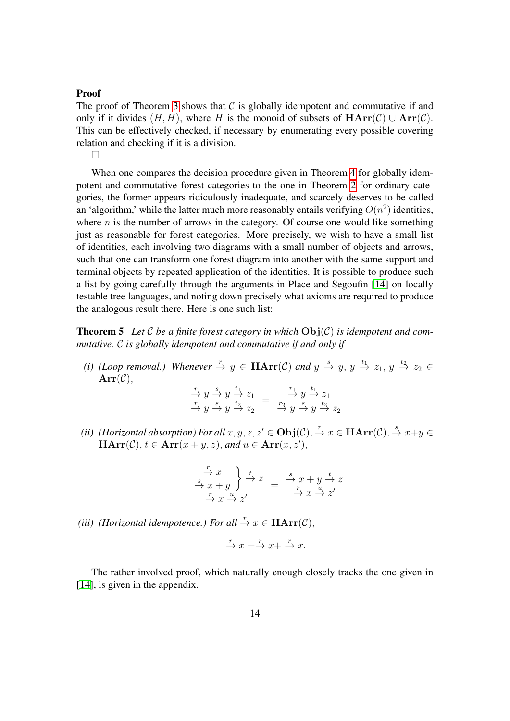#### Proof

The proof of Theorem [3](#page-12-0) shows that  $C$  is globally idempotent and commutative if and only if it divides  $(H, H)$ , where H is the monoid of subsets of  $HArr(\mathcal{C}) \cup Arr(\mathcal{C})$ . This can be effectively checked, if necessary by enumerating every possible covering relation and checking if it is a division.

 $\Box$ 

When one compares the decision procedure given in Theorem [4](#page-12-1) for globally idempotent and commutative forest categories to the one in Theorem [2](#page-11-1) for ordinary categories, the former appears ridiculously inadequate, and scarcely deserves to be called an 'algorithm,' while the latter much more reasonably entails verifying  $O(n^2)$  identities, where  $n$  is the number of arrows in the category. Of course one would like something just as reasonable for forest categories. More precisely, we wish to have a small list of identities, each involving two diagrams with a small number of objects and arrows, such that one can transform one forest diagram into another with the same support and terminal objects by repeated application of the identities. It is possible to produce such a list by going carefully through the arguments in Place and Segoufin [\[14\]](#page-18-4) on locally testable tree languages, and noting down precisely what axioms are required to produce the analogous result there. Here is one such list:

**Theorem 5** Let C be a finite forest category in which  $\text{Obj}(\mathcal{C})$  is idempotent and com*mutative.* C *is globally idempotent and commutative if and only if*

(*i*) (Loop removal.) Whenever  $\stackrel{r}{\to} y \in \textbf{HArr}(\mathcal{C})$  and  $y \stackrel{s}{\to} y$ ,  $y \stackrel{t_1}{\to} z_1$ ,  $y \stackrel{t_2}{\to} z_2 \in$  $Arr(C),$ 

<span id="page-13-0"></span>
$$
\xrightarrow{r} y \xrightarrow{s} y \xrightarrow{t_1} z_1 = \xrightarrow{r_1} y \xrightarrow{t_1} z_1
$$
  
\n
$$
\xrightarrow{r} y \xrightarrow{s} y \xrightarrow{t_2} z_2 = \xrightarrow{r_2} y \xrightarrow{s} y \xrightarrow{t_2} z_2
$$

*(ii) (Horizontal absorption) For all*  $x, y, z, z' \in Obj(\mathcal{C}), \rightarrow x \in HArr(\mathcal{C}), \rightarrow x+y \in$  $\textbf{HArr}(\mathcal{C}), t \in \textbf{Arr}(x+y,z),$  and  $u \in \textbf{Arr}(x,z'),$ 

$$
\begin{array}{c}\n\stackrel{r}{\rightarrow} x \\
\stackrel{s}{\rightarrow} x + y \\
\stackrel{r}{\rightarrow} x \stackrel{u}{\rightarrow} z' \\
\stackrel{r}{\rightarrow} x \stackrel{r}{\rightarrow} z'\n\end{array} = \begin{array}{c}\n\stackrel{s}{\rightarrow} x + y \stackrel{t}{\rightarrow} z \\
\stackrel{r}{\rightarrow} x \stackrel{u}{\rightarrow} z'\n\end{array}
$$

*(iii) (Horizontal idempotence.) For all*  $\rightarrow x \in \textbf{HArr}(\mathcal{C})$ ,

$$
\xrightarrow{r} x \xrightarrow{r} x + \xrightarrow{r} x.
$$

The rather involved proof, which naturally enough closely tracks the one given in [\[14\]](#page-18-4), is given in the appendix.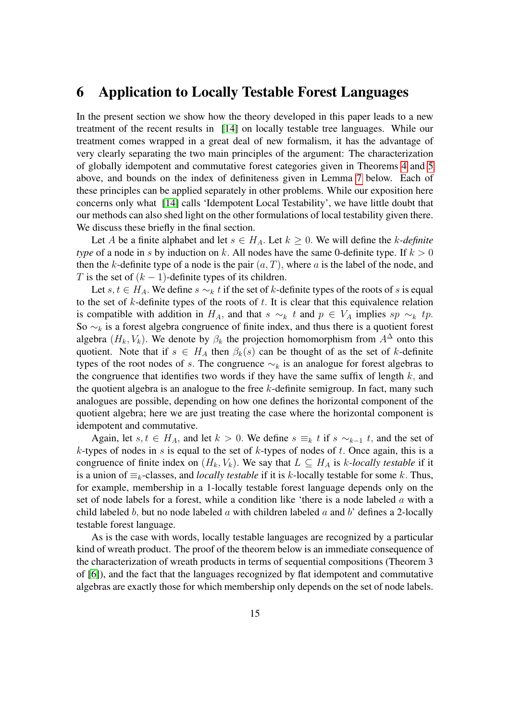### 6 Application to Locally Testable Forest Languages

In the present section we show how the theory developed in this paper leads to a new treatment of the recent results in [\[14\]](#page-18-4) on locally testable tree languages. While our treatment comes wrapped in a great deal of new formalism, it has the advantage of very clearly separating the two main principles of the argument: The characterization of globally idempotent and commutative forest categories given in Theorems [4](#page-12-1) and [5](#page-13-0) above, and bounds on the index of definiteness given in Lemma [7](#page-15-0) below. Each of these principles can be applied separately in other problems. While our exposition here concerns only what [\[14\]](#page-18-4) calls 'Idempotent Local Testability', we have little doubt that our methods can also shed light on the other formulations of local testability given there. We discuss these briefly in the final section.

Let A be a finite alphabet and let  $s \in H_A$ . Let  $k > 0$ . We will define the k-definite *type* of a node in s by induction on k. All nodes have the same 0-definite type. If  $k > 0$ then the k-definite type of a node is the pair  $(a, T)$ , where a is the label of the node, and T is the set of  $(k - 1)$ -definite types of its children.

Let s,  $t \in H_A$ . We define  $s \sim_k t$  if the set of k-definite types of the roots of s is equal to the set of  $k$ -definite types of the roots of  $t$ . It is clear that this equivalence relation is compatible with addition in  $H_A$ , and that  $s \sim_k t$  and  $p \in V_A$  implies  $sp \sim_k tp$ . So  $\sim_k$  is a forest algebra congruence of finite index, and thus there is a quotient forest algebra  $(H_k, V_k)$ . We denote by  $\beta_k$  the projection homomorphism from  $A^{\Delta}$  onto this quotient. Note that if  $s \in H_A$  then  $\beta_k(s)$  can be thought of as the set of k-definite types of the root nodes of s. The congruence  $\sim_k$  is an analogue for forest algebras to the congruence that identifies two words if they have the same suffix of length  $k$ , and the quotient algebra is an analogue to the free  $k$ -definite semigroup. In fact, many such analogues are possible, depending on how one defines the horizontal component of the quotient algebra; here we are just treating the case where the horizontal component is idempotent and commutative.

Again, let s,  $t \in H_A$ , and let  $k > 0$ . We define  $s \equiv_k t$  if  $s \sim_{k-1} t$ , and the set of  $k$ -types of nodes in s is equal to the set of  $k$ -types of nodes of  $t$ . Once again, this is a congruence of finite index on  $(H_k, V_k)$ . We say that  $L \subseteq H_A$  is k-locally testable if it is a union of  $\equiv_k$ -classes, and *locally testable* if it is k-locally testable for some k. Thus, for example, membership in a 1-locally testable forest language depends only on the set of node labels for a forest, while a condition like 'there is a node labeled a with a child labeled b, but no node labeled  $a$  with children labeled  $a$  and  $b'$  defines a 2-locally testable forest language.

<span id="page-14-0"></span>As is the case with words, locally testable languages are recognized by a particular kind of wreath product. The proof of the theorem below is an immediate consequence of the characterization of wreath products in terms of sequential compositions (Theorem 3 of [\[6\]](#page-18-0)), and the fact that the languages recognized by flat idempotent and commutative algebras are exactly those for which membership only depends on the set of node labels.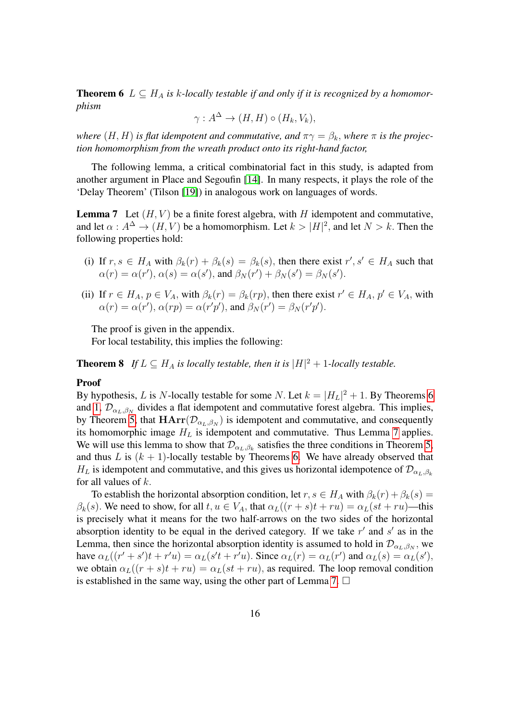**Theorem 6**  $L \subseteq H_A$  is k-locally testable if and only if it is recognized by a homomor*phism*

$$
\gamma: A^{\Delta} \to (H, H) \circ (H_k, V_k),
$$

*where*  $(H, H)$  *is flat idempotent and commutative, and*  $\pi \gamma = \beta_k$ *, where*  $\pi$  *is the projection homomorphism from the wreath product onto its right-hand factor,*

The following lemma, a critical combinatorial fact in this study, is adapted from another argument in Place and Segoufin [\[14\]](#page-18-4). In many respects, it plays the role of the 'Delay Theorem' (Tilson [\[19\]](#page-19-4)) in analogous work on languages of words.

<span id="page-15-0"></span>**Lemma 7** Let  $(H, V)$  be a finite forest algebra, with H idempotent and commutative, and let  $\alpha : A^{\Delta} \to (H, V)$  be a homomorphism. Let  $k > |H|^2$ , and let  $N > k$ . Then the following properties hold:

- (i) If  $r, s \in H_A$  with  $\beta_k(r) + \beta_k(s) = \beta_k(s)$ , then there exist  $r', s' \in H_A$  such that  $\alpha(r) = \alpha(r'), \alpha(s) = \alpha(s'),$  and  $\beta_N(r') + \beta_N(s') = \beta_N(s').$
- (ii) If  $r \in H_A$ ,  $p \in V_A$ , with  $\beta_k(r) = \beta_k(r)$ , then there exist  $r' \in H_A$ ,  $p' \in V_A$ , with  $\alpha(r) = \alpha(r'), \alpha(rp) = \alpha(r'p'),$  and  $\beta_N(r') = \beta_N(r'p').$

The proof is given in the appendix.

For local testability, this implies the following:

<span id="page-15-1"></span>**Theorem 8** If  $L \subseteq H_A$  is locally testable, then it is  $|H|^2 + 1$ -locally testable.

#### Proof

By hypothesis, L is N-locally testable for some N. Let  $k = |H_L|^2 + 1$ . By Theorems [6](#page-14-0) and [1,](#page-11-0)  $\mathcal{D}_{\alpha_L,\beta_N}$  divides a flat idempotent and commutative forest algebra. This implies, by Theorem [5,](#page-13-0) that  $\text{HArr}(\mathcal{D}_{\alpha_L,\beta_N})$  is idempotent and commutative, and consequently its homomorphic image  $H_L$  is idempotent and commutative. Thus Lemma [7](#page-15-0) applies. We will use this lemma to show that  $\mathcal{D}_{\alpha_L,\beta_k}$  satisfies the three conditions in Theorem [5,](#page-13-0) and thus L is  $(k + 1)$ -locally testable by Theorems [6.](#page-14-0) We have already observed that  $H_L$  is idempotent and commutative, and this gives us horizontal idempotence of  $\mathcal{D}_{\alpha_L,\beta_k}$ for all values of  $k$ .

To establish the horizontal absorption condition, let  $r, s \in H_A$  with  $\beta_k(r) + \beta_k(s) =$  $\beta_k(s)$ . We need to show, for all  $t, u \in V_A$ , that  $\alpha_L((r+s)t + ru) = \alpha_L(st + ru)$ —this is precisely what it means for the two half-arrows on the two sides of the horizontal absorption identity to be equal in the derived category. If we take  $r'$  and  $s'$  as in the Lemma, then since the horizontal absorption identity is assumed to hold in  $\mathcal{D}_{\alpha_L,\beta_N}$ , we have  $\alpha_L((r'+s')t + r'u) = \alpha_L(s't + r'u)$ . Since  $\alpha_L(r) = \alpha_L(r')$  and  $\alpha_L(s) = \alpha_L(s')$ , we obtain  $\alpha_L((r + s)t + ru) = \alpha_L(st + ru)$ , as required. The loop removal condition is established in the same way, using the other part of Lemma [7.](#page-15-0)  $\Box$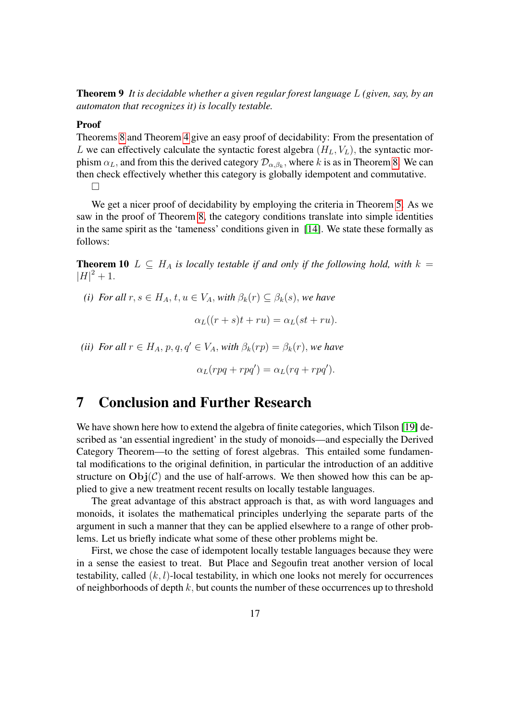Theorem 9 *It is decidable whether a given regular forest language* L *(given, say, by an automaton that recognizes it) is locally testable.*

#### Proof

Theorems [8](#page-15-1) and Theorem [4](#page-12-1) give an easy proof of decidability: From the presentation of L we can effectively calculate the syntactic forest algebra  $(H_L, V_L)$ , the syntactic morphism  $\alpha_L$ , and from this the derived category  $\mathcal{D}_{\alpha,\beta_k}$ , where k is as in Theorem [8.](#page-15-1) We can then check effectively whether this category is globally idempotent and commutative.  $\Box$ 

We get a nicer proof of decidability by employing the criteria in Theorem [5.](#page-13-0) As we saw in the proof of Theorem [8,](#page-15-1) the category conditions translate into simple identities in the same spirit as the 'tameness' conditions given in [\[14\]](#page-18-4). We state these formally as follows:

**Theorem 10**  $L \subseteq H_A$  *is locally testable if and only if the following hold, with*  $k =$  $|H|^2 + 1.$ 

*(i)* For all  $r, s \in H_A$ ,  $t, u \in V_A$ , with  $\beta_k(r) \subset \beta_k(s)$ , we have

$$
\alpha_L((r+s)t+ru)=\alpha_L(st+ru).
$$

*(ii)* For all  $r \in H_A$ ,  $p, q, q' \in V_A$ , *with*  $\beta_k(rp) = \beta_k(r)$ , *we have* 

$$
\alpha_L(rpq + rpq') = \alpha_L(rq + rpq').
$$

### 7 Conclusion and Further Research

We have shown here how to extend the algebra of finite categories, which Tilson [\[19\]](#page-19-4) described as 'an essential ingredient' in the study of monoids—and especially the Derived Category Theorem—to the setting of forest algebras. This entailed some fundamental modifications to the original definition, in particular the introduction of an additive structure on  $Obj(\mathcal{C})$  and the use of half-arrows. We then showed how this can be applied to give a new treatment recent results on locally testable languages.

The great advantage of this abstract approach is that, as with word languages and monoids, it isolates the mathematical principles underlying the separate parts of the argument in such a manner that they can be applied elsewhere to a range of other problems. Let us briefly indicate what some of these other problems might be.

First, we chose the case of idempotent locally testable languages because they were in a sense the easiest to treat. But Place and Segoufin treat another version of local testability, called  $(k, l)$ -local testability, in which one looks not merely for occurrences of neighborhoods of depth  $k$ , but counts the number of these occurrences up to threshold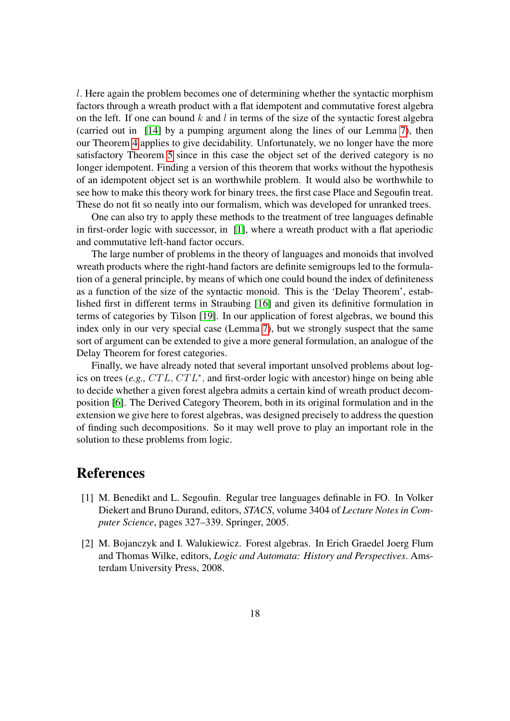l. Here again the problem becomes one of determining whether the syntactic morphism factors through a wreath product with a flat idempotent and commutative forest algebra on the left. If one can bound  $k$  and  $l$  in terms of the size of the syntactic forest algebra (carried out in [\[14\]](#page-18-4) by a pumping argument along the lines of our Lemma [7\)](#page-15-0), then our Theorem [4](#page-12-1) applies to give decidability. Unfortunately, we no longer have the more satisfactory Theorem [5](#page-13-0) since in this case the object set of the derived category is no longer idempotent. Finding a version of this theorem that works without the hypothesis of an idempotent object set is an worthwhile problem. It would also be worthwhile to see how to make this theory work for binary trees, the first case Place and Segoufin treat. These do not fit so neatly into our formalism, which was developed for unranked trees.

One can also try to apply these methods to the treatment of tree languages definable in first-order logic with successor, in [\[1\]](#page-17-1), where a wreath product with a flat aperiodic and commutative left-hand factor occurs.

The large number of problems in the theory of languages and monoids that involved wreath products where the right-hand factors are definite semigroups led to the formulation of a general principle, by means of which one could bound the index of definiteness as a function of the size of the syntactic monoid. This is the 'Delay Theorem', established first in different terms in Straubing [\[16\]](#page-19-3) and given its definitive formulation in terms of categories by Tilson [\[19\]](#page-19-4). In our application of forest algebras, we bound this index only in our very special case (Lemma [7\)](#page-15-0), but we strongly suspect that the same sort of argument can be extended to give a more general formulation, an analogue of the Delay Theorem for forest categories.

Finally, we have already noted that several important unsolved problems about logics on trees (e.g., CTL, CTL<sup>\*</sup>, and first-order logic with ancestor) hinge on being able to decide whether a given forest algebra admits a certain kind of wreath product decomposition [\[6\]](#page-18-0). The Derived Category Theorem, both in its original formulation and in the extension we give here to forest algebras, was designed precisely to address the question of finding such decompositions. So it may well prove to play an important role in the solution to these problems from logic.

### References

- <span id="page-17-1"></span>[1] M. Benedikt and L. Segoufin. Regular tree languages definable in FO. In Volker Diekert and Bruno Durand, editors, *STACS*, volume 3404 of *Lecture Notes in Computer Science*, pages 327–339. Springer, 2005.
- <span id="page-17-0"></span>[2] M. Bojanczyk and I. Walukiewicz. Forest algebras. In Erich Graedel Joerg Flum and Thomas Wilke, editors, *Logic and Automata: History and Perspectives*. Amsterdam University Press, 2008.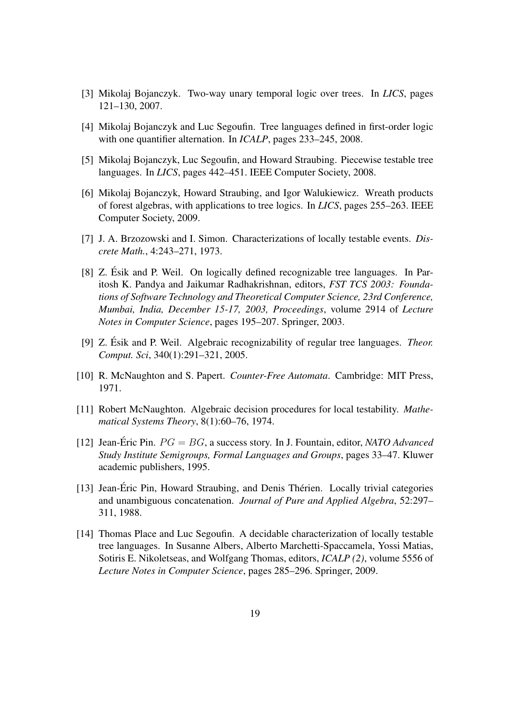- <span id="page-18-3"></span>[3] Mikolaj Bojanczyk. Two-way unary temporal logic over trees. In *LICS*, pages 121–130, 2007.
- <span id="page-18-2"></span>[4] Mikolaj Bojanczyk and Luc Segoufin. Tree languages defined in first-order logic with one quantifier alternation. In *ICALP*, pages 233–245, 2008.
- <span id="page-18-1"></span>[5] Mikolaj Bojanczyk, Luc Segoufin, and Howard Straubing. Piecewise testable tree languages. In *LICS*, pages 442–451. IEEE Computer Society, 2008.
- <span id="page-18-0"></span>[6] Mikolaj Bojanczyk, Howard Straubing, and Igor Walukiewicz. Wreath products of forest algebras, with applications to tree logics. In *LICS*, pages 255–263. IEEE Computer Society, 2009.
- <span id="page-18-8"></span>[7] J. A. Brzozowski and I. Simon. Characterizations of locally testable events. *Discrete Math.*, 4:243–271, 1973.
- <span id="page-18-5"></span>[8] Z. Ésik and P. Weil. On logically defined recognizable tree languages. In Paritosh K. Pandya and Jaikumar Radhakrishnan, editors, *FST TCS 2003: Foundations of Software Technology and Theoretical Computer Science, 23rd Conference, Mumbai, India, December 15-17, 2003, Proceedings*, volume 2914 of *Lecture Notes in Computer Science*, pages 195–207. Springer, 2003.
- <span id="page-18-6"></span>[9] Z. Esik and P. Weil. Algebraic recognizability of regular tree languages. ´ *Theor. Comput. Sci*, 340(1):291–321, 2005.
- <span id="page-18-7"></span>[10] R. McNaughton and S. Papert. *Counter-Free Automata*. Cambridge: MIT Press, 1971.
- <span id="page-18-11"></span>[11] Robert McNaughton. Algebraic decision procedures for local testability. *Mathematical Systems Theory*, 8(1):60–76, 1974.
- <span id="page-18-10"></span>[12] Jean-Éric Pin.  $PG = BG$ , a success story. In J. Fountain, editor, *NATO Advanced Study Institute Semigroups, Formal Languages and Groups*, pages 33–47. Kluwer academic publishers, 1995.
- <span id="page-18-9"></span>[13] Jean-Éric Pin, Howard Straubing, and Denis Thérien. Locally trivial categories and unambiguous concatenation. *Journal of Pure and Applied Algebra*, 52:297– 311, 1988.
- <span id="page-18-4"></span>[14] Thomas Place and Luc Segoufin. A decidable characterization of locally testable tree languages. In Susanne Albers, Alberto Marchetti-Spaccamela, Yossi Matias, Sotiris E. Nikoletseas, and Wolfgang Thomas, editors, *ICALP (2)*, volume 5556 of *Lecture Notes in Computer Science*, pages 285–296. Springer, 2009.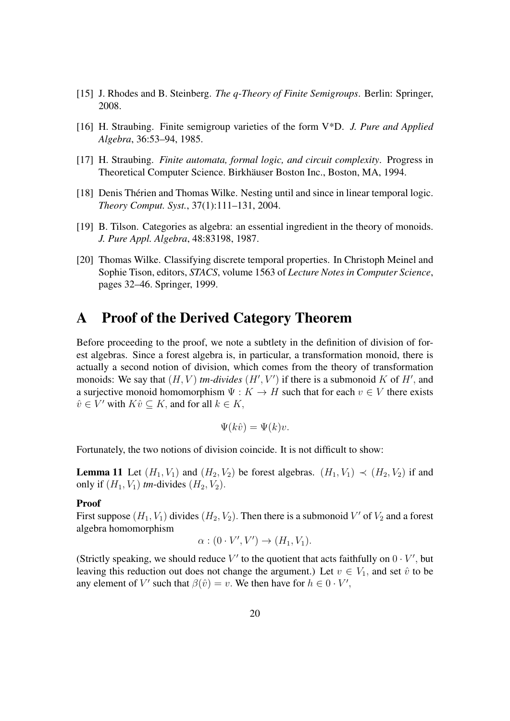- <span id="page-19-5"></span>[15] J. Rhodes and B. Steinberg. *The q-Theory of Finite Semigroups*. Berlin: Springer, 2008.
- <span id="page-19-3"></span>[16] H. Straubing. Finite semigroup varieties of the form V\*D. *J. Pure and Applied Algebra*, 36:53–94, 1985.
- <span id="page-19-0"></span>[17] H. Straubing. *Finite automata, formal logic, and circuit complexity*. Progress in Theoretical Computer Science. Birkhäuser Boston Inc., Boston, MA, 1994.
- <span id="page-19-1"></span>[18] Denis Thérien and Thomas Wilke. Nesting until and since in linear temporal logic. *Theory Comput. Syst.*, 37(1):111–131, 2004.
- <span id="page-19-4"></span>[19] B. Tilson. Categories as algebra: an essential ingredient in the theory of monoids. *J. Pure Appl. Algebra*, 48:83198, 1987.
- <span id="page-19-2"></span>[20] Thomas Wilke. Classifying discrete temporal properties. In Christoph Meinel and Sophie Tison, editors, *STACS*, volume 1563 of *Lecture Notes in Computer Science*, pages 32–46. Springer, 1999.

## A Proof of the Derived Category Theorem

Before proceeding to the proof, we note a subtlety in the definition of division of forest algebras. Since a forest algebra is, in particular, a transformation monoid, there is actually a second notion of division, which comes from the theory of transformation monoids: We say that  $(H, V)$  *tm-divides*  $(H', V')$  if there is a submonoid K of H', and a surjective monoid homomorphism  $\Psi : K \to H$  such that for each  $v \in V$  there exists  $\hat{v} \in V'$  with  $K\hat{v} \subseteq K$ , and for all  $k \in K$ ,

$$
\Psi(k\hat{v}) = \Psi(k)v.
$$

<span id="page-19-6"></span>Fortunately, the two notions of division coincide. It is not difficult to show:

**Lemma 11** Let  $(H_1, V_1)$  and  $(H_2, V_2)$  be forest algebras.  $(H_1, V_1) \prec (H_2, V_2)$  if and only if  $(H_1, V_1)$  *tm*-divides  $(H_2, V_2)$ .

#### Proof

First suppose  $(H_1, V_1)$  divides  $(H_2, V_2)$ . Then there is a submonoid V' of  $V_2$  and a forest algebra homomorphism

$$
\alpha : (0 \cdot V', V') \to (H_1, V_1).
$$

(Strictly speaking, we should reduce  $V'$  to the quotient that acts faithfully on  $0 \cdot V'$ , but leaving this reduction out does not change the argument.) Let  $v \in V_1$ , and set  $\hat{v}$  to be any element of V' such that  $\beta(\hat{v}) = v$ . We then have for  $h \in 0 \cdot V'$ ,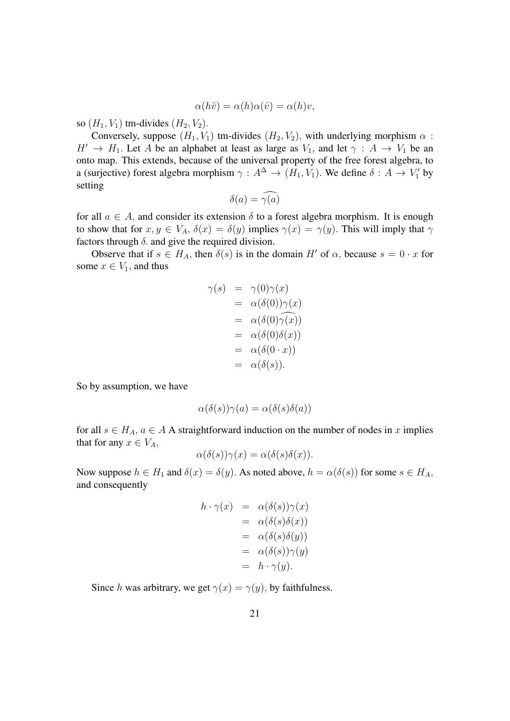$$
\alpha(h\hat{v}) = \alpha(h)\alpha(\hat{v}) = \alpha(h)v,
$$

so  $(H_1, V_1)$  tm-divides  $(H_2, V_2)$ .

Conversely, suppose  $(H_1, V_1)$  tm-divides  $(H_2, V_2)$ , with underlying morphism  $\alpha$ :  $H' \rightarrow H_1$ . Let A be an alphabet at least as large as  $V_1$ , and let  $\gamma : A \rightarrow V_1$  be an onto map. This extends, because of the universal property of the free forest algebra, to a (surjective) forest algebra morphism  $\gamma : A^{\Delta} \to (H_1, V_1)$ . We define  $\delta : A \to V_1'$  by setting

$$
\delta(a) = \widehat{\gamma(a)}
$$

for all  $a \in A$ , and consider its extension  $\delta$  to a forest algebra morphism. It is enough to show that for  $x, y \in V_A$ ,  $\delta(x) = \delta(y)$  implies  $\gamma(x) = \gamma(y)$ . This will imply that  $\gamma$ factors through  $\delta$ . and give the required division.

Observe that if  $s \in H_A$ , then  $\delta(s)$  is in the domain H' of  $\alpha$ , because  $s = 0 \cdot x$  for some  $x \in V_1$ , and thus

$$
\gamma(s) = \gamma(0)\gamma(x)
$$
  
=  $\alpha(\delta(0))\gamma(x)$   
=  $\alpha(\delta(0)\widehat{\gamma(x)})$   
=  $\alpha(\delta(0)\delta(x))$   
=  $\alpha(\delta(0 \cdot x))$   
=  $\alpha(\delta(s)).$ 

So by assumption, we have

$$
\alpha(\delta(s))\gamma(a) = \alpha(\delta(s)\delta(a))
$$

for all  $s \in H_A$ ,  $a \in A$  A straightforward induction on the number of nodes in x implies that for any  $x \in V_A$ ,

$$
\alpha(\delta(s))\gamma(x) = \alpha(\delta(s)\delta(x)).
$$

Now suppose  $h \in H_1$  and  $\delta(x) = \delta(y)$ . As noted above,  $h = \alpha(\delta(s))$  for some  $s \in H_A$ , and consequently

$$
h \cdot \gamma(x) = \alpha(\delta(s))\gamma(x)
$$
  
=  $\alpha(\delta(s)\delta(x))$   
=  $\alpha(\delta(s)\delta(y))$   
=  $\alpha(\delta(s))\gamma(y)$   
=  $h \cdot \gamma(y)$ .

Since h was arbitrary, we get  $\gamma(x) = \gamma(y)$ , by faithfulness.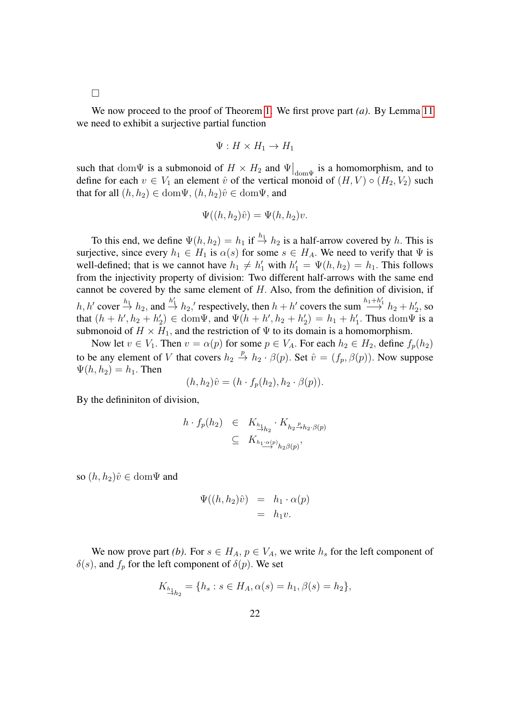$\Box$ 

We now proceed to the proof of Theorem [1.](#page-11-0) We first prove part *(a)*. By Lemma [11](#page-19-6) we need to exhibit a surjective partial function

$$
\Psi: H \times H_1 \to H_1
$$

such that dom  $\Psi$  is a submonoid of  $H \times H_2$  and  $\Psi|_{\text{dom}\Psi}$  is a homomorphism, and to define for each  $v \in V_1$  an element  $\hat{v}$  of the vertical monoid of  $(H, V) \circ (H_2, V_2)$  such that for all  $(h, h_2) \in \text{dom}\Psi$ ,  $(h, h_2)\hat{v} \in \text{dom}\Psi$ , and

$$
\Psi((h, h_2)\hat{v}) = \Psi(h, h_2)v.
$$

To this end, we define  $\Psi(h, h_2) = h_1$  if  $\stackrel{h_1}{\rightarrow} h_2$  is a half-arrow covered by h. This is surjective, since every  $h_1 \in H_1$  is  $\alpha(s)$  for some  $s \in H_A$ . We need to verify that  $\Psi$  is well-defined; that is we cannot have  $h_1 \neq h'_1$  with  $h'_1 = \Psi(h, h_2) = h_1$ . This follows from the injectivity property of division: Two different half-arrows with the same end cannot be covered by the same element of  $H$ . Also, from the definition of division, if  $h, h'$  cover  $\stackrel{h_1}{\rightarrow} h_2$ , and  $\stackrel{h'_1}{\rightarrow} h_2'$ , respectively, then  $h + h'$  covers the sum  $\stackrel{h_1 + h'_1}{\rightarrow} h_2 + h'_2$ , so that  $(h + h', h_2 + h'_2) \in \text{dom}\Psi$ , and  $\Psi(h + h', h_2 + h'_2) = h_1 + h'_1$ . Thus  $\text{dom}\Psi$  is a submonoid of  $H \times H_1$ , and the restriction of  $\Psi$  to its domain is a homomorphism.

Now let  $v \in V_1$ . Then  $v = \alpha(p)$  for some  $p \in V_A$ . For each  $h_2 \in H_2$ , define  $f_p(h_2)$ to be any element of V that covers  $h_2 \stackrel{p}{\rightarrow} h_2 \cdot \beta(p)$ . Set  $\hat{v} = (f_p, \beta(p))$ . Now suppose  $\Psi(h, h_2) = h_1$ . Then

$$
(h, h2)\hat{v} = (h \cdot fp(h2), h2 \cdot \beta(p)).
$$

By the defininiton of division,

$$
h \cdot f_p(h_2) \in K_{\underset{\longrightarrow}{h_{1}}} K_{h_2} \cdot K_{h_2 \overset{p}{\longrightarrow} h_2 \cdot \beta(p)} \subseteq K_{h_1 \overset{\alpha(p)}{\longrightarrow} h_2 \beta(p)},
$$

so  $(h, h_2)\hat{v} \in \text{dom}\Psi$  and

$$
\Psi((h, h_2)\hat{v}) = h_1 \cdot \alpha(p) \n= h_1 v.
$$

We now prove part *(b)*. For  $s \in H_A$ ,  $p \in V_A$ , we write  $h_s$  for the left component of  $\delta(s)$ , and  $f_p$  for the left component of  $\delta(p)$ . We set

$$
K_{\frac{h_1}{h_2}} = \{ h_s : s \in H_A, \alpha(s) = h_1, \beta(s) = h_2 \},\
$$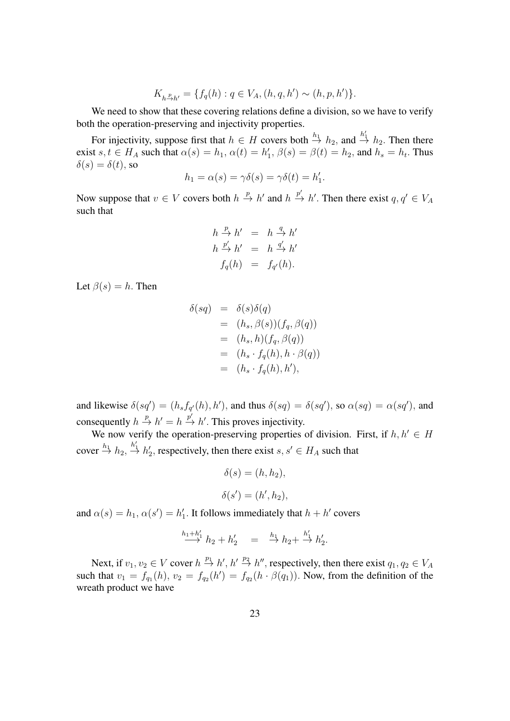$$
K_{h\stackrel{p}{\to}h'} = \{f_q(h) : q \in V_A, (h, q, h') \sim (h, p, h')\}.
$$

We need to show that these covering relations define a division, so we have to verify both the operation-preserving and injectivity properties.

For injectivity, suppose first that  $h \in H$  covers both  $\stackrel{h_1}{\rightarrow} h_2$ , and  $\stackrel{h'_1}{\rightarrow} h_2$ . Then there exist  $s, t \in H_A$  such that  $\alpha(s) = h_1, \alpha(t) = h'_1, \beta(s) = \beta(t) = h_2$ , and  $h_s = h_t$ . Thus  $\delta(s) = \delta(t)$ , so

$$
h_1 = \alpha(s) = \gamma \delta(s) = \gamma \delta(t) = h'_1.
$$

Now suppose that  $v \in V$  covers both  $h \stackrel{p}{\to} h'$  and  $h \stackrel{p'}{\to} h'$ . Then there exist  $q, q' \in V_A$ such that

$$
h \stackrel{p}{\rightarrow} h' = h \stackrel{q}{\rightarrow} h'
$$
  
\n
$$
h \stackrel{p'}{\rightarrow} h' = h \stackrel{q'}{\rightarrow} h'
$$
  
\n
$$
f_q(h) = f_{q'}(h).
$$

Let  $\beta(s) = h$ . Then

$$
\delta(sq) = \delta(s)\delta(q)
$$
  
=  $(h_s, \beta(s))(f_q, \beta(q))$   
=  $(h_s, h)(f_q, \beta(q))$   
=  $(h_s \cdot f_q(h), h \cdot \beta(q))$   
=  $(h_s \cdot f_q(h), h'),$ 

and likewise  $\delta(sq') = (h_s f_{q'}(h), h')$ , and thus  $\delta(sq) = \delta(sq')$ , so  $\alpha(sq) = \alpha(sq')$ , and consequently  $h \stackrel{p}{\to} h' = h \stackrel{p'}{\to} h'$ . This proves injectivity.

We now verify the operation-preserving properties of division. First, if  $h, h' \in H$ cover  $\stackrel{h_1}{\rightarrow}$   $h_2$ ,  $\stackrel{h'_1}{\rightarrow}$   $h'_2$ , respectively, then there exist  $s, s' \in H_A$  such that

$$
\delta(s) = (h, h_2),
$$
  

$$
\delta(s') = (h', h_2),
$$

and  $\alpha(s) = h_1, \alpha(s') = h'_1$ . It follows immediately that  $h + h'$  covers

$$
\stackrel{h_1+h_1'}{\longrightarrow} h_2 + h_2' = \stackrel{h_1}{\longrightarrow} h_2 + \stackrel{h_1'}{\longrightarrow} h_2'.
$$

Next, if  $v_1, v_2 \in V$  cover  $h \stackrel{p_1}{\rightarrow} h', h' \stackrel{p_2}{\rightarrow} h''$ , respectively, then there exist  $q_1, q_2 \in V_A$ such that  $v_1 = f_{q_1}(h)$ ,  $v_2 = f_{q_2}(h') = f_{q_2}(h \cdot \beta(q_1))$ . Now, from the definition of the wreath product we have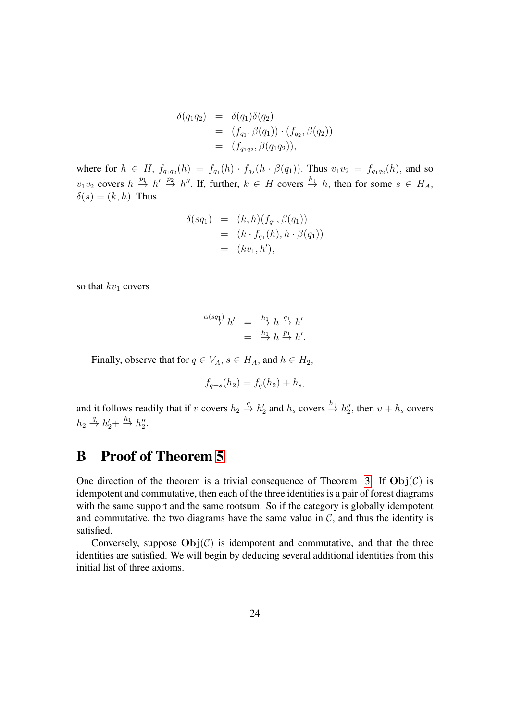$$
\delta(q_1 q_2) = \delta(q_1) \delta(q_2) \n= (f_{q_1}, \beta(q_1)) \cdot (f_{q_2}, \beta(q_2)) \n= (f_{q_1 q_2}, \beta(q_1 q_2)),
$$

where for  $h \in H$ ,  $f_{q_1q_2}(h) = f_{q_1}(h) \cdot f_{q_2}(h \cdot \beta(q_1))$ . Thus  $v_1v_2 = f_{q_1q_2}(h)$ , and so  $v_1v_2$  covers  $h \stackrel{p_1}{\rightarrow} h' \stackrel{p_2}{\rightarrow} h''$ . If, further,  $k \in H$  covers  $\stackrel{h_1}{\rightarrow} h$ , then for some  $s \in H_A$ ,  $\delta(s) = (k, h)$ . Thus

$$
\delta(sq_1) = (k, h)(f_{q_1}, \beta(q_1))
$$
  
=  $(k \cdot f_{q_1}(h), h \cdot \beta(q_1))$   
=  $(kv_1, h'),$ 

so that  $kv_1$  covers

$$
\stackrel{\alpha(sq_1)}{\longrightarrow} h' = \stackrel{h_1}{\longrightarrow} h \stackrel{q_1}{\longrightarrow} h'
$$
  

$$
= \stackrel{h_1}{\longrightarrow} h \stackrel{p_1}{\longrightarrow} h'.
$$

Finally, observe that for  $q \in V_A$ ,  $s \in H_A$ , and  $h \in H_2$ ,

$$
f_{q+s}(h_2) = f_q(h_2) + h_s,
$$

and it follows readily that if v covers  $h_2 \stackrel{q}{\to} h'_2$  and  $h_s$  covers  $\stackrel{h_1}{\to} h''_2$ , then  $v + h_s$  covers  $h_2 \stackrel{q}{\rightarrow} h'_2 + \stackrel{h_1}{\rightarrow} h''_2.$ 

# B Proof of Theorem [5](#page-13-0)

One direction of the theorem is a trivial consequence of Theorem [3:](#page-12-0) If  $\text{Obj}(\mathcal{C})$  is idempotent and commutative, then each of the three identities is a pair of forest diagrams with the same support and the same rootsum. So if the category is globally idempotent and commutative, the two diagrams have the same value in  $C$ , and thus the identity is satisfied.

Conversely, suppose  $Obj(\mathcal{C})$  is idempotent and commutative, and that the three identities are satisfied. We will begin by deducing several additional identities from this initial list of three axioms.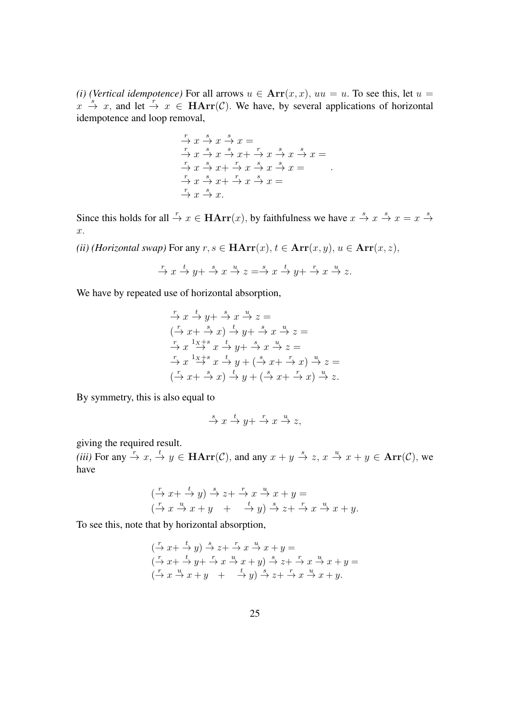*(i) (Vertical idempotence)* For all arrows  $u \in \text{Arr}(x, x)$ ,  $uu = u$ . To see this, let  $u = u$  $x \stackrel{s}{\rightarrow} x$ , and let  $\stackrel{r}{\rightarrow} x \in \textbf{HArr}(\mathcal{C})$ . We have, by several applications of horizontal idempotence and loop removal,

$$
\begin{array}{c}\n\stackrel{r}{\rightarrow} x \stackrel{s}{\rightarrow} x \stackrel{s}{\rightarrow} x = \\
\stackrel{r}{\rightarrow} x \stackrel{s}{\rightarrow} x \stackrel{s}{\rightarrow} x + \stackrel{r}{\rightarrow} x \stackrel{s}{\rightarrow} x \stackrel{s}{\rightarrow} x = \\
\stackrel{r}{\rightarrow} x \stackrel{s}{\rightarrow} x + \stackrel{r}{\rightarrow} x \stackrel{s}{\rightarrow} x \stackrel{s}{\rightarrow} x = \\
\stackrel{r}{\rightarrow} x \stackrel{s}{\rightarrow} x + \stackrel{r}{\rightarrow} x \stackrel{s}{\rightarrow} x = \\
\stackrel{r}{\rightarrow} x \stackrel{s}{\rightarrow} x.\n\end{array}
$$

Since this holds for all  $\stackrel{r}{\to} x \in \mathbf{HArr}(x)$ , by faithfulness we have  $x \stackrel{s}{\to} x \stackrel{s}{\to} x = x \stackrel{s}{\to} x$ x.

*(ii) (Horizontal swap)* For any  $r, s \in \text{HArr}(x), t \in \text{Arr}(x, y), u \in \text{Arr}(x, z)$ ,

$$
\xrightarrow{r} x \xrightarrow{t} y + \xrightarrow{s} x \xrightarrow{u} z = \xrightarrow{s} x \xrightarrow{t} y + \xrightarrow{r} x \xrightarrow{u} z.
$$

We have by repeated use of horizontal absorption,

$$
\begin{aligned}\n\stackrel{r}{\rightarrow} x \stackrel{t}{\rightarrow} y + \stackrel{s}{\rightarrow} x \stackrel{u}{\rightarrow} z = \\
(\stackrel{r}{\rightarrow} x + \stackrel{s}{\rightarrow} x) \stackrel{t}{\rightarrow} y + \stackrel{s}{\rightarrow} x \stackrel{u}{\rightarrow} z = \\
\stackrel{r}{\rightarrow} x \stackrel{1x+s}{\rightarrow} x \stackrel{t}{\rightarrow} y + \stackrel{s}{\rightarrow} x \stackrel{u}{\rightarrow} z = \\
\stackrel{r}{\rightarrow} x \stackrel{1x+s}{\rightarrow} x \stackrel{t}{\rightarrow} y + (\stackrel{s}{\rightarrow} x + \stackrel{r}{\rightarrow} x) \stackrel{u}{\rightarrow} z = \\
(\stackrel{r}{\rightarrow} x + \stackrel{s}{\rightarrow} x) \stackrel{t}{\rightarrow} y + (\stackrel{s}{\rightarrow} x + \stackrel{r}{\rightarrow} x) \stackrel{u}{\rightarrow} z.\n\end{aligned}
$$

By symmetry, this is also equal to

$$
\stackrel{s}{\to} x \stackrel{t}{\to} y + \stackrel{r}{\to} x \stackrel{u}{\to} z,
$$

giving the required result.

*(iii)* For any  $\stackrel{r}{\to} x$ ,  $\stackrel{t}{\to} y \in \textbf{HArr}(\mathcal{C})$ , and any  $x + y \stackrel{s}{\to} z$ ,  $x \stackrel{u}{\to} x + y \in \textbf{Arr}(\mathcal{C})$ , we have

$$
\begin{array}{ccc}\n\left(\stackrel{r}{\to} x + \stackrel{t}{\to} y\right) \stackrel{s}{\to} z + \stackrel{r}{\to} x \stackrel{u}{\to} x + y = \\
\left(\stackrel{r}{\to} x \stackrel{u}{\to} x + y + \stackrel{t}{\to} y\right) \stackrel{s}{\to} z + \stackrel{r}{\to} x \stackrel{u}{\to} x + y.\n\end{array}
$$

To see this, note that by horizontal absorption,

$$
\begin{array}{l}\n(\xrightarrow{r} x + \xrightarrow{t} y) \xrightarrow{s} z + \xrightarrow{r} x \xrightarrow{u} x + y = \\
(\xrightarrow{r} x + \xrightarrow{t} y + \xrightarrow{r} x \xrightarrow{u} x + y) \xrightarrow{s} z + \xrightarrow{r} x \xrightarrow{u} x + y = \\
(\xrightarrow{r} x \xrightarrow{u} x + y + \xrightarrow{t} y) \xrightarrow{s} z + \xrightarrow{r} x \xrightarrow{u} x + y.\n\end{array}
$$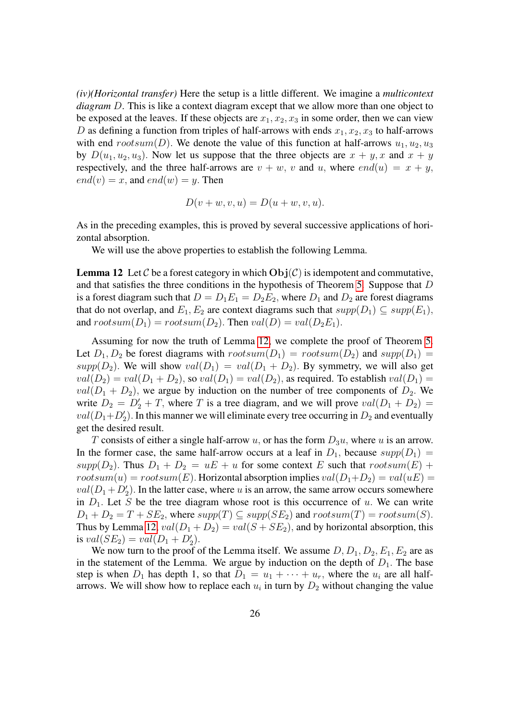*(iv)(Horizontal transfer)* Here the setup is a little different. We imagine a *multicontext diagram* D. This is like a context diagram except that we allow more than one object to be exposed at the leaves. If these objects are  $x_1, x_2, x_3$  in some order, then we can view D as defining a function from triples of half-arrows with ends  $x_1, x_2, x_3$  to half-arrows with end rootsum(D). We denote the value of this function at half-arrows  $u_1, u_2, u_3$ by  $D(u_1, u_2, u_3)$ . Now let us suppose that the three objects are  $x + y$ , x and  $x + y$ respectively, and the three half-arrows are  $v + w$ , v and u, where  $end(u) = x + y$ ,  $end(v) = x$ , and  $end(w) = y$ . Then

$$
D(v + w, v, u) = D(u + w, v, u).
$$

As in the preceding examples, this is proved by several successive applications of horizontal absorption.

We will use the above properties to establish the following Lemma.

<span id="page-25-0"></span>**Lemma 12** Let C be a forest category in which  $\text{Obj}(\mathcal{C})$  is idempotent and commutative, and that satisfies the three conditions in the hypothesis of Theorem [5.](#page-13-0) Suppose that D is a forest diagram such that  $D = D_1 E_1 = D_2 E_2$ , where  $D_1$  and  $D_2$  are forest diagrams that do not overlap, and  $E_1, E_2$  are context diagrams such that  $supp(D_1) \subseteq supp(E_1)$ , and  $rootsum(D_1) = rootsum(D_2)$ . Then  $val(D) = val(D_2E_1)$ .

Assuming for now the truth of Lemma [12,](#page-25-0) we complete the proof of Theorem [5.](#page-13-0) Let  $D_1, D_2$  be forest diagrams with  $rootsum(D_1) = rootsum(D_2)$  and  $supp(D_1) =$ supp( $D_2$ ). We will show  $val(D_1) = val(D_1 + D_2)$ . By symmetry, we will also get  $val(D_2) = val(D_1 + D_2)$ , so  $val(D_1) = val(D_2)$ , as required. To establish  $val(D_1) = val(D_1)$  $val(D_1 + D_2)$ , we argue by induction on the number of tree components of  $D_2$ . We write  $D_2 = D'_2 + T$ , where T is a tree diagram, and we will prove  $val(D_1 + D_2)$  $val(D_1+D'_2)$ . In this manner we will eliminate every tree occurring in  $D_2$  and eventually get the desired result.

T consists of either a single half-arrow u, or has the form  $D_3u$ , where u is an arrow. In the former case, the same half-arrow occurs at a leaf in  $D_1$ , because  $supp(D_1)$  =  $supp(D_2)$ . Thus  $D_1 + D_2 = uE + u$  for some context E such that  $rootsum(E) +$  $rootsum(u) = rootsum(E)$ . Horizontal absorption implies  $val(D_1+D_2) = val(uE)$  $val(D_1 + D_2')$ . In the latter case, where u is an arrow, the same arrow occurs somewhere in  $D_1$ . Let S be the tree diagram whose root is this occurrence of u. We can write  $D_1 + D_2 = T + SE_2$ , where  $supp(T) \subseteq supp(SE_2)$  and  $rootsum(T) = rootsum(S)$ . Thus by Lemma [12,](#page-25-0)  $val(D_1 + D_2) = val(S + SE_2)$ , and by horizontal absorption, this is  $val(SE_2) = val(D_1 + D'_2)$ .

We now turn to the proof of the Lemma itself. We assume  $D, D_1, D_2, E_1, E_2$  are as in the statement of the Lemma. We argue by induction on the depth of  $D_1$ . The base step is when  $D_1$  has depth 1, so that  $D_1 = u_1 + \cdots + u_r$ , where the  $u_i$  are all halfarrows. We will show how to replace each  $u_i$  in turn by  $D_2$  without changing the value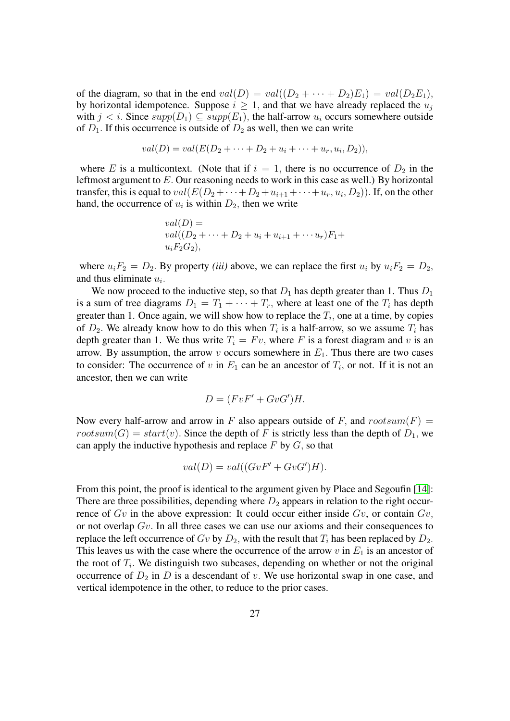of the diagram, so that in the end  $val(D) = val((D_2 + \cdots + D_2)E_1) = val(D_2E_1)$ , by horizontal idempotence. Suppose  $i \geq 1$ , and that we have already replaced the  $u_j$ with  $j < i$ . Since  $supp(D_1) \subset supp(E_1)$ , the half-arrow  $u_i$  occurs somewhere outside of  $D_1$ . If this occurrence is outside of  $D_2$  as well, then we can write

$$
val(D) = val(E(D_2 + \cdots + D_2 + u_i + \cdots + u_r, u_i, D_2)),
$$

where E is a multicontext. (Note that if  $i = 1$ , there is no occurrence of  $D_2$  in the leftmost argument to  $E$ . Our reasoning needs to work in this case as well.) By horizontal transfer, this is equal to  $val(E(D_2 + \cdots + D_2 + u_{i+1} + \cdots + u_r, u_i, D_2))$ . If, on the other hand, the occurrence of  $u_i$  is within  $D_2$ , then we write

$$
val(D) = \nval((D_2 + \dots + D_2 + u_i + u_{i+1} + \dots + u_r)F_1 + u_iF_2G_2),
$$

where  $u_iF_2 = D_2$ . By property *(iii)* above, we can replace the first  $u_i$  by  $u_iF_2 = D_2$ , and thus eliminate  $u_i$ .

We now proceed to the inductive step, so that  $D_1$  has depth greater than 1. Thus  $D_1$ is a sum of tree diagrams  $D_1 = T_1 + \cdots + T_r$ , where at least one of the  $T_i$  has depth greater than 1. Once again, we will show how to replace the  $T_i$ , one at a time, by copies of  $D_2$ . We already know how to do this when  $T_i$  is a half-arrow, so we assume  $T_i$  has depth greater than 1. We thus write  $T_i = Fv$ , where F is a forest diagram and v is an arrow. By assumption, the arrow v occurs somewhere in  $E_1$ . Thus there are two cases to consider: The occurrence of v in  $E_1$  can be an ancestor of  $T_i$ , or not. If it is not an ancestor, then we can write

$$
D = (FvF' + GvG')H.
$$

Now every half-arrow and arrow in F also appears outside of F, and  $rootsum(F)$  =  $rootsum(G) = start(v)$ . Since the depth of F is strictly less than the depth of  $D_1$ , we can apply the inductive hypothesis and replace  $F$  by  $G$ , so that

$$
val(D) = val((GvF' + GvG')H).
$$

From this point, the proof is identical to the argument given by Place and Segoufin [\[14\]](#page-18-4): There are three possibilities, depending where  $D_2$  appears in relation to the right occurrence of  $Gv$  in the above expression: It could occur either inside  $Gv$ , or contain  $Gv$ , or not overlap  $Gv$ . In all three cases we can use our axioms and their consequences to replace the left occurrence of Gv by  $D_2$ , with the result that  $T_i$  has been replaced by  $D_2$ . This leaves us with the case where the occurrence of the arrow v in  $E_1$  is an ancestor of the root of  $T_i$ . We distinguish two subcases, depending on whether or not the original occurrence of  $D_2$  in D is a descendant of v. We use horizontal swap in one case, and vertical idempotence in the other, to reduce to the prior cases.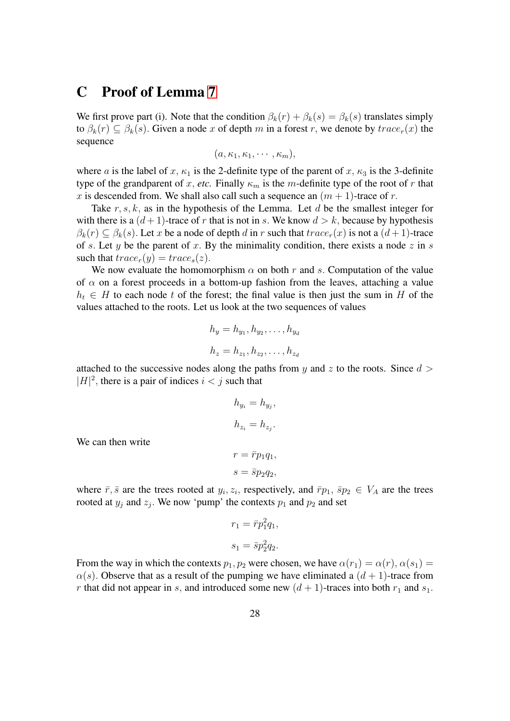## C Proof of Lemma [7](#page-15-0)

We first prove part (i). Note that the condition  $\beta_k(r) + \beta_k(s) = \beta_k(s)$  translates simply to  $\beta_k(r) \subset \beta_k(s)$ . Given a node x of depth m in a forest r, we denote by  $trace_r(x)$  the sequence

$$
(a,\kappa_1,\kappa_1,\cdots,\kappa_m),
$$

where a is the label of x,  $\kappa_1$  is the 2-definite type of the parent of x,  $\kappa_3$  is the 3-definite type of the grandparent of x, *etc.* Finally  $\kappa_m$  is the m-definite type of the root of r that x is descended from. We shall also call such a sequence an  $(m + 1)$ -trace of r.

Take  $r, s, k$ , as in the hypothesis of the Lemma. Let d be the smallest integer for with there is a  $(d+1)$ -trace of r that is not in s. We know  $d > k$ , because by hypothesis  $\beta_k(r) \subset \beta_k(s)$ . Let x be a node of depth d in r such that  $trace_r(x)$  is not a  $(d+1)$ -trace of s. Let y be the parent of x. By the minimality condition, there exists a node z in s such that  $trace_r(y) = trace_s(z)$ .

We now evaluate the homomorphism  $\alpha$  on both r and s. Computation of the value of  $\alpha$  on a forest proceeds in a bottom-up fashion from the leaves, attaching a value  $h_t \in H$  to each node t of the forest; the final value is then just the sum in H of the values attached to the roots. Let us look at the two sequences of values

$$
h_y = h_{y_1}, h_{y_2}, \dots, h_{y_d}
$$

$$
h_z = h_{z_1}, h_{z_2}, \dots, h_{z_d}
$$

attached to the successive nodes along the paths from y and z to the roots. Since  $d >$  $|H|^2$ , there is a pair of indices  $i < j$  such that

$$
h_{y_i} = h_{y_j},
$$
  

$$
h_{z_i} = h_{z_j}.
$$
  

$$
r = \bar{r}p_1q_1,
$$

We can then write

where 
$$
\bar{r}
$$
,  $\bar{s}$  are the trees rooted at  $y_i$ ,  $z_i$ , respectively, and  $\bar{r}p_1$ ,  $\bar{s}p_2 \in V_A$  are the trees rooted at  $y_j$  and  $z_j$ . We now 'pump' the contexts  $p_1$  and  $p_2$  and set

 $s = \bar{s}p_2q_2$ 

$$
r_1 = \overline{r}p_1^2 q_1,
$$
  

$$
s_1 = \overline{s}p_2^2 q_2.
$$

From the way in which the contexts  $p_1, p_2$  were chosen, we have  $\alpha(r_1) = \alpha(r), \alpha(s_1) =$  $\alpha(s)$ . Observe that as a result of the pumping we have eliminated a  $(d+1)$ -trace from r that did not appear in s, and introduced some new  $(d + 1)$ -traces into both  $r_1$  and  $s_1$ .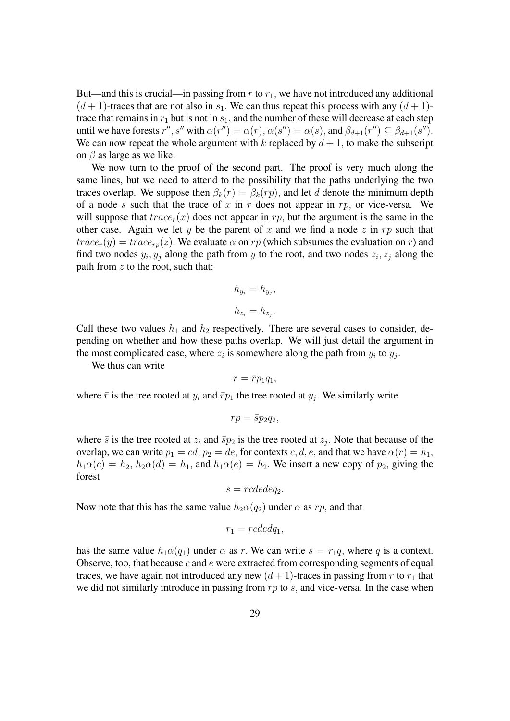But—and this is crucial—in passing from  $r$  to  $r_1$ , we have not introduced any additional  $(d+1)$ -traces that are not also in  $s_1$ . We can thus repeat this process with any  $(d+1)$ trace that remains in  $r_1$  but is not in  $s_1$ , and the number of these will decrease at each step until we have forests  $r'', s''$  with  $\alpha(r'') = \alpha(r)$ ,  $\alpha(s'') = \alpha(s)$ , and  $\beta_{d+1}(r'') \subseteq \beta_{d+1}(s'')$ . We can now repeat the whole argument with k replaced by  $d + 1$ , to make the subscript on  $\beta$  as large as we like.

We now turn to the proof of the second part. The proof is very much along the same lines, but we need to attend to the possibility that the paths underlying the two traces overlap. We suppose then  $\beta_k(r) = \beta_k(r)$ , and let d denote the minimum depth of a node s such that the trace of x in r does not appear in  $rp$ , or vice-versa. We will suppose that  $trace_r(x)$  does not appear in rp, but the argument is the same in the other case. Again we let y be the parent of x and we find a node z in rp such that  $trace_r(y) = trace_{rp}(z)$ . We evaluate  $\alpha$  on  $rp$  (which subsumes the evaluation on r) and find two nodes  $y_i, y_j$  along the path from y to the root, and two nodes  $z_i, z_j$  along the path from  $z$  to the root, such that:

$$
h_{y_i} = h_{y_j},
$$
  

$$
h_{z_i} = h_{z_j}.
$$

Call these two values  $h_1$  and  $h_2$  respectively. There are several cases to consider, depending on whether and how these paths overlap. We will just detail the argument in the most complicated case, where  $z_i$  is somewhere along the path from  $y_i$  to  $y_j$ .

We thus can write

$$
r=\bar{r}p_1q_1,
$$

where  $\bar{r}$  is the tree rooted at  $y_i$  and  $\bar{r}p_1$  the tree rooted at  $y_j$ . We similarly write

$$
rp = \bar{s}p_2q_2,
$$

where  $\bar{s}$  is the tree rooted at  $z_i$  and  $\bar{s}p_2$  is the tree rooted at  $z_j$ . Note that because of the overlap, we can write  $p_1 = cd$ ,  $p_2 = de$ , for contexts c, d, e, and that we have  $\alpha(r) = h_1$ ,  $h_1\alpha(c) = h_2$ ,  $h_2\alpha(d) = h_1$ , and  $h_1\alpha(e) = h_2$ . We insert a new copy of  $p_2$ , giving the forest

$$
s = rcdedeq_2.
$$

Now note that this has the same value  $h_2\alpha(q_2)$  under  $\alpha$  as rp, and that

$$
r_1 = rcdedq_1,
$$

has the same value  $h_1\alpha(q_1)$  under  $\alpha$  as r. We can write  $s = r_1q$ , where q is a context. Observe, too, that because  $c$  and  $e$  were extracted from corresponding segments of equal traces, we have again not introduced any new  $(d+1)$ -traces in passing from r to  $r_1$  that we did not similarly introduce in passing from  $rp$  to  $s$ , and vice-versa. In the case when